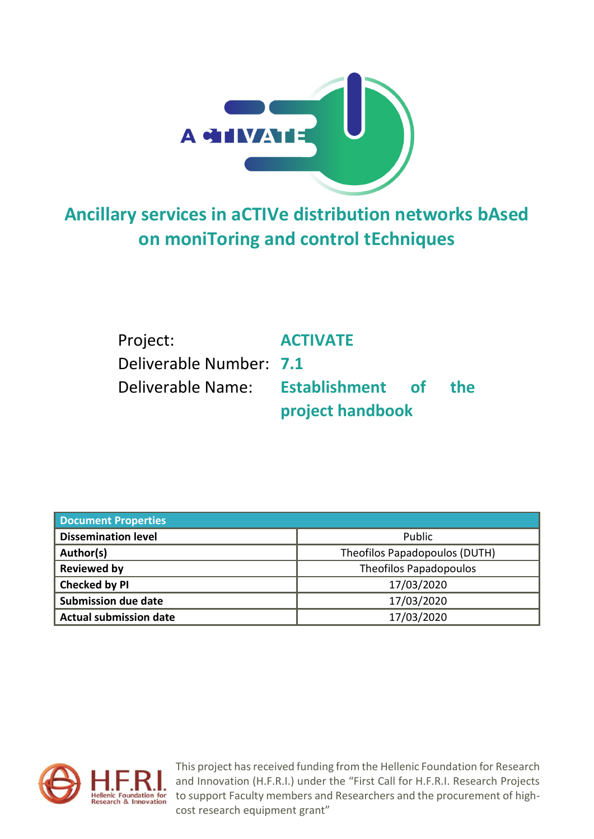

**Ancillary services in aCTIVe distribution networks bAsed on moniToring and control tEchniques**

| Project:                | <b>ACTIVATE</b>  |     |
|-------------------------|------------------|-----|
| Deliverable Number: 7.1 |                  |     |
| Deliverable Name:       | Establishment of | the |
|                         | project handbook |     |

| <b>Document Properties</b>    |                               |  |  |  |  |  |  |  |  |
|-------------------------------|-------------------------------|--|--|--|--|--|--|--|--|
| <b>Dissemination level</b>    | Public                        |  |  |  |  |  |  |  |  |
| Author(s)                     | Theofilos Papadopoulos (DUTH) |  |  |  |  |  |  |  |  |
| <b>Reviewed by</b>            | Theofilos Papadopoulos        |  |  |  |  |  |  |  |  |
| <b>Checked by PI</b>          | 17/03/2020                    |  |  |  |  |  |  |  |  |
| <b>Submission due date</b>    | 17/03/2020                    |  |  |  |  |  |  |  |  |
| <b>Actual submission date</b> | 17/03/2020                    |  |  |  |  |  |  |  |  |



This project has received funding from the Hellenic Foundation for Research and Innovation (H.F.R.I.) under the "First Call for H.F.R.I. Research Projects to support Faculty members and Researchers and the procurement of highcost research equipment grant"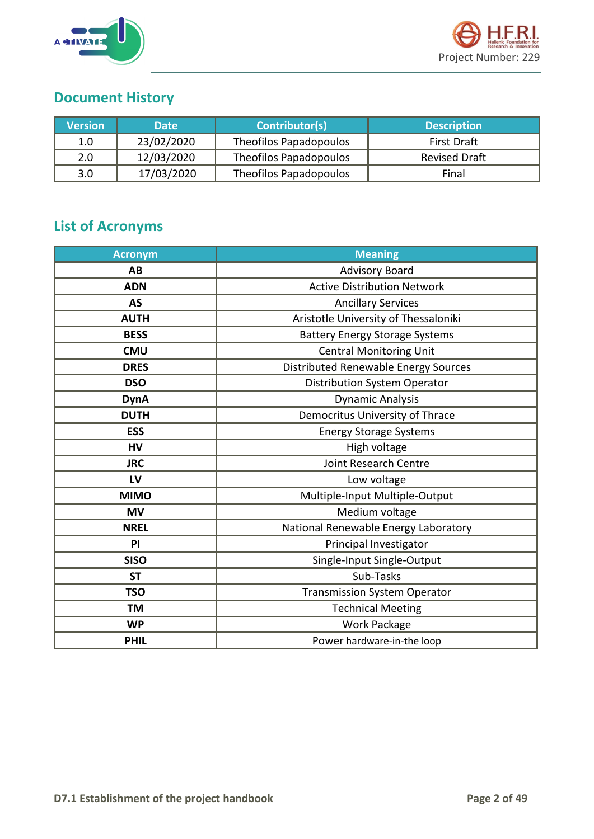



## **Document History**

| Version | <b>Date</b> | Contributor(s)         | <b>Description</b>   |  |  |  |
|---------|-------------|------------------------|----------------------|--|--|--|
| 1.0     | 23/02/2020  | Theofilos Papadopoulos | <b>First Draft</b>   |  |  |  |
| 2.0     | 12/03/2020  | Theofilos Papadopoulos | <b>Revised Draft</b> |  |  |  |
| 3.0     | 17/03/2020  | Theofilos Papadopoulos | Final                |  |  |  |

# **List of Acronyms**

| <b>Acronym</b> | <b>Meaning</b>                        |
|----------------|---------------------------------------|
| AB             | <b>Advisory Board</b>                 |
| <b>ADN</b>     | <b>Active Distribution Network</b>    |
| <b>AS</b>      | <b>Ancillary Services</b>             |
| <b>AUTH</b>    | Aristotle University of Thessaloniki  |
| <b>BESS</b>    | <b>Battery Energy Storage Systems</b> |
| <b>CMU</b>     | <b>Central Monitoring Unit</b>        |
| <b>DRES</b>    | Distributed Renewable Energy Sources  |
| <b>DSO</b>     | Distribution System Operator          |
| <b>DynA</b>    | <b>Dynamic Analysis</b>               |
| <b>DUTH</b>    | Democritus University of Thrace       |
| <b>ESS</b>     | <b>Energy Storage Systems</b>         |
| <b>HV</b>      | High voltage                          |
| <b>JRC</b>     | Joint Research Centre                 |
| LV             | Low voltage                           |
| <b>MIMO</b>    | Multiple-Input Multiple-Output        |
| <b>MV</b>      | Medium voltage                        |
| <b>NREL</b>    | National Renewable Energy Laboratory  |
| PI             | Principal Investigator                |
| <b>SISO</b>    | Single-Input Single-Output            |
| <b>ST</b>      | Sub-Tasks                             |
| <b>TSO</b>     | <b>Transmission System Operator</b>   |
| <b>TM</b>      | <b>Technical Meeting</b>              |
| <b>WP</b>      | <b>Work Package</b>                   |
| <b>PHIL</b>    | Power hardware-in-the loop            |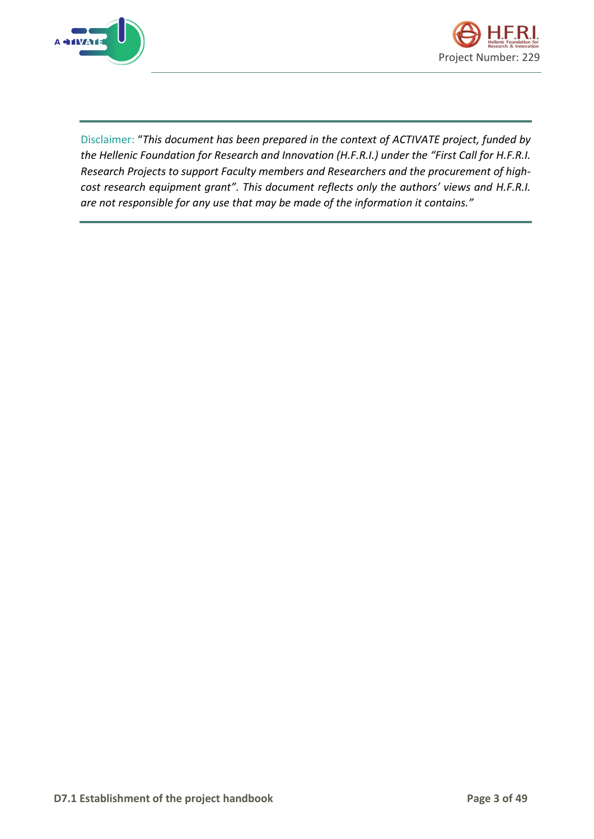



Disclaimer: "*This document has been prepared in the context of ACTIVATE project, funded by the Hellenic Foundation for Research and Innovation (H.F.R.I.) under the "First Call for H.F.R.I. Research Projects to support Faculty members and Researchers and the procurement of highcost research equipment grant". This document reflects only the authors' views and H.F.R.I. are not responsible for any use that may be made of the information it contains."*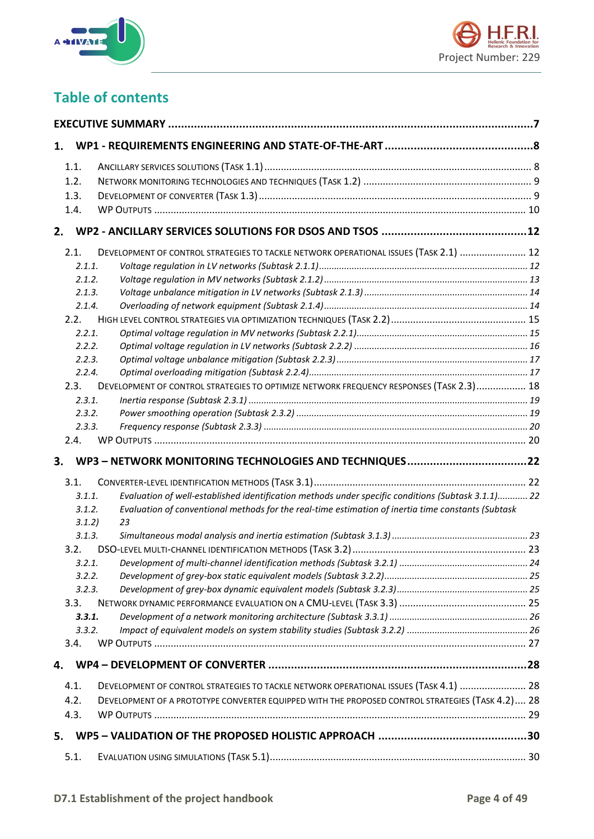



# **Table of contents**

| $\mathbf{1}$ |                  |                                                                                                          |  |
|--------------|------------------|----------------------------------------------------------------------------------------------------------|--|
|              | 1.1.             |                                                                                                          |  |
|              | 1.2.             |                                                                                                          |  |
|              | 1.3.             |                                                                                                          |  |
|              | 1.4.             |                                                                                                          |  |
| 2.           |                  |                                                                                                          |  |
|              | 2.1.             | DEVELOPMENT OF CONTROL STRATEGIES TO TACKLE NETWORK OPERATIONAL ISSUES (TASK 2.1)  12                    |  |
|              | 2.1.1.           |                                                                                                          |  |
|              | 2.1.2.           |                                                                                                          |  |
|              | 2.1.3.           |                                                                                                          |  |
|              | 2.1.4.           |                                                                                                          |  |
|              | 2.2.             |                                                                                                          |  |
|              | 2.2.1.           |                                                                                                          |  |
|              | 2.2.2.           |                                                                                                          |  |
|              | 2.2.3.           |                                                                                                          |  |
|              | 2.2.4.           |                                                                                                          |  |
|              | 2.3.             | DEVELOPMENT OF CONTROL STRATEGIES TO OPTIMIZE NETWORK FREQUENCY RESPONSES (TASK 2.3) 18                  |  |
|              | 2.3.1.           |                                                                                                          |  |
|              | 2.3.2.           |                                                                                                          |  |
|              | 2.3.3.           |                                                                                                          |  |
|              | 2.4.             |                                                                                                          |  |
| 3.           |                  |                                                                                                          |  |
|              | 3.1.             |                                                                                                          |  |
|              | 3.1.1.           | Evaluation of well-established identification methods under specific conditions (Subtask 3.1.1) 22       |  |
|              | 3.1.2.<br>3.1.2) | Evaluation of conventional methods for the real-time estimation of inertia time constants (Subtask<br>23 |  |
|              | 3.1.3.           |                                                                                                          |  |
|              | 3.2.             |                                                                                                          |  |
|              | 3.2.1.           |                                                                                                          |  |
|              | 3.2.2.           |                                                                                                          |  |
|              | 3.2.3.           |                                                                                                          |  |
|              | 3.3.             |                                                                                                          |  |
|              | 3.3.1.           |                                                                                                          |  |
|              | 3.3.2.           |                                                                                                          |  |
|              | 3.4.             |                                                                                                          |  |
| 4.           |                  |                                                                                                          |  |
|              | 4.1.             | DEVELOPMENT OF CONTROL STRATEGIES TO TACKLE NETWORK OPERATIONAL ISSUES (TASK 4.1)  28                    |  |
|              | 4.2.             | DEVELOPMENT OF A PROTOTYPE CONVERTER EQUIPPED WITH THE PROPOSED CONTROL STRATEGIES (TASK 4.2) 28         |  |
|              |                  |                                                                                                          |  |
|              | 4.3.             |                                                                                                          |  |
| 5.           |                  |                                                                                                          |  |
|              | 5.1.             |                                                                                                          |  |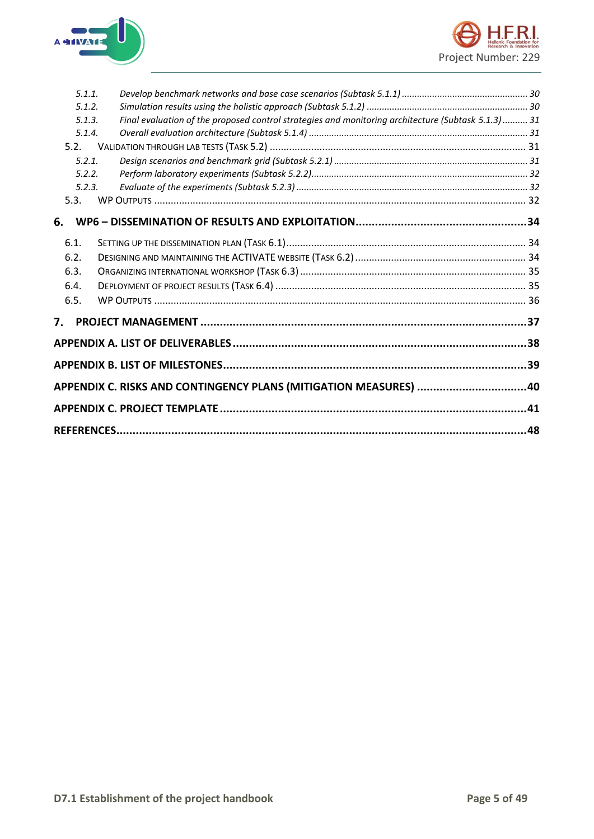



|      | 5.1.1. |                                                                                                    |  |
|------|--------|----------------------------------------------------------------------------------------------------|--|
|      | 5.1.2. |                                                                                                    |  |
|      | 5.1.3. | Final evaluation of the proposed control strategies and monitoring architecture (Subtask 5.1.3) 31 |  |
|      | 5.1.4. |                                                                                                    |  |
|      | 5.2.   |                                                                                                    |  |
|      | 5.2.1. |                                                                                                    |  |
|      | 5.2.2. |                                                                                                    |  |
|      | 5.2.3. |                                                                                                    |  |
|      | 5.3.   |                                                                                                    |  |
|      |        |                                                                                                    |  |
| 6.   |        |                                                                                                    |  |
| 6.1. |        |                                                                                                    |  |
| 6.2. |        |                                                                                                    |  |
| 6.3. |        |                                                                                                    |  |
| 6.4. |        |                                                                                                    |  |
| 6.5. |        |                                                                                                    |  |
|      |        |                                                                                                    |  |
| 7.   |        |                                                                                                    |  |
|      |        |                                                                                                    |  |
|      |        |                                                                                                    |  |
|      |        | APPENDIX C. RISKS AND CONTINGENCY PLANS (MITIGATION MEASURES) 40                                   |  |
|      |        |                                                                                                    |  |
|      |        |                                                                                                    |  |
|      |        |                                                                                                    |  |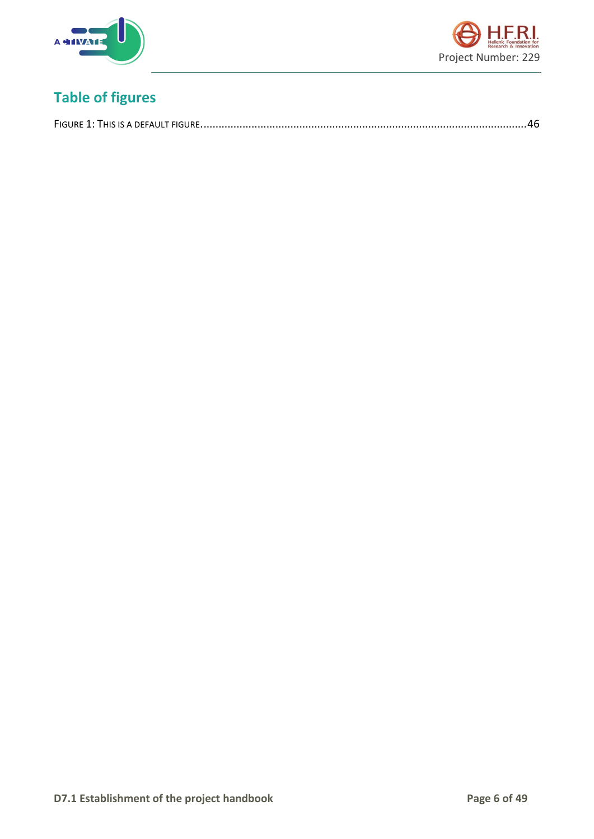



# **Table of figures**

|--|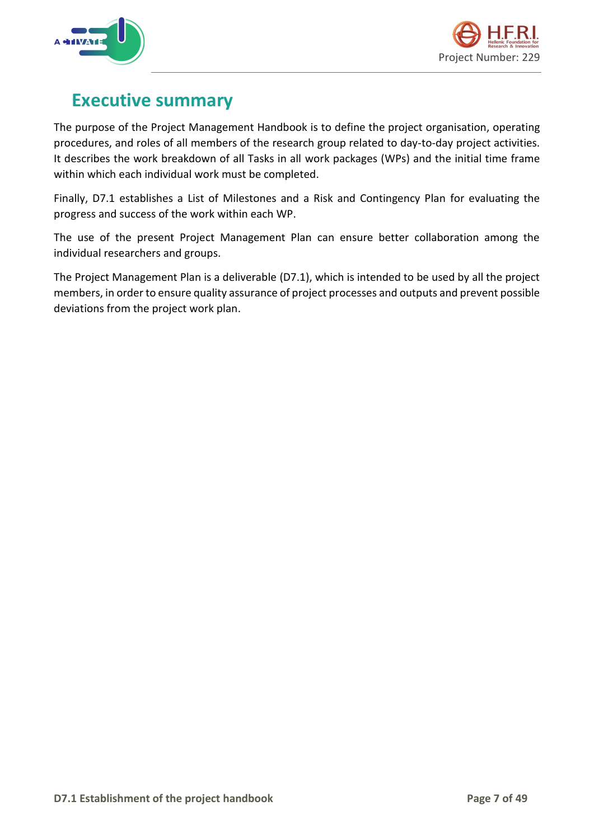



# <span id="page-6-0"></span>**Executive summary**

The purpose of the Project Management Handbook is to define the project organisation, operating procedures, and roles of all members of the research group related to day-to-day project activities. It describes the work breakdown of all Tasks in all work packages (WPs) and the initial time frame within which each individual work must be completed.

Finally, D7.1 establishes a List of Milestones and a Risk and Contingency Plan for evaluating the progress and success of the work within each WP.

The use of the present Project Management Plan can ensure better collaboration among the individual researchers and groups.

The Project Management Plan is a deliverable (D7.1), which is intended to be used by all the project members, in order to ensure quality assurance of project processes and outputs and prevent possible deviations from the project work plan.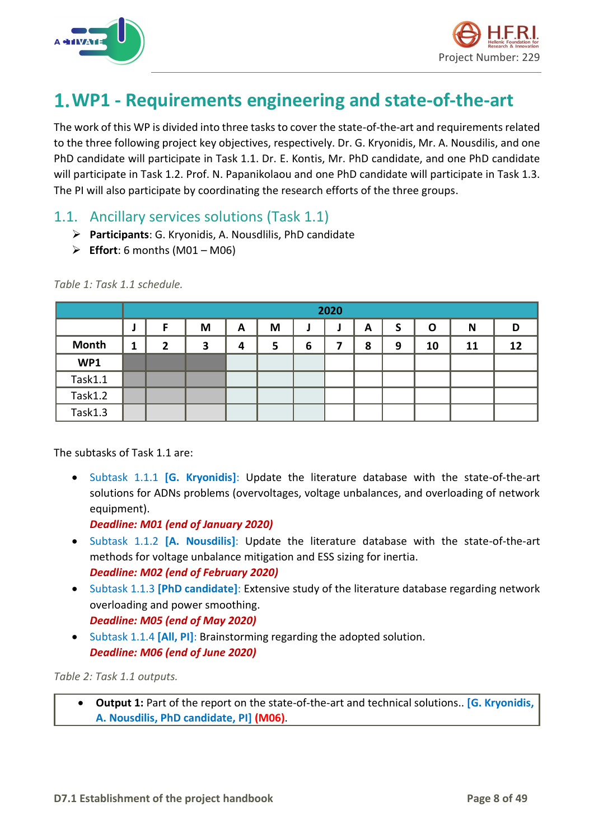



# <span id="page-7-0"></span>**WP1 - Requirements engineering and state-of-the-art**

The work of this WP is divided into three tasks to cover the state-of-the-art and requirements related to the three following project key objectives, respectively. Dr. G. Kryonidis, Mr. A. Nousdilis, and one PhD candidate will participate in Task 1.1. Dr. E. Kontis, Mr. PhD candidate, and one PhD candidate will participate in Task 1.2. Prof. N. Papanikolaou and one PhD candidate will participate in Task 1.3. The PI will also participate by coordinating the research efforts of the three groups.

### <span id="page-7-1"></span>1.1. Ancillary services solutions (Task 1.1)

- ➢ **Participants**: G. Kryonidis, A. Nousdlilis, PhD candidate
- $\triangleright$  **Effort**: 6 months (M01 M06)

|              | 2020 |   |   |   |   |   |  |   |   |    |    |    |  |
|--------------|------|---|---|---|---|---|--|---|---|----|----|----|--|
|              |      | F | M | A | M |   |  | A | S | O  | N  | D  |  |
| <b>Month</b> | 1    | 2 | 3 | 4 | 5 | 6 |  | 8 | 9 | 10 | 11 | 12 |  |
| WP1          |      |   |   |   |   |   |  |   |   |    |    |    |  |
| Task1.1      |      |   |   |   |   |   |  |   |   |    |    |    |  |
| Task1.2      |      |   |   |   |   |   |  |   |   |    |    |    |  |
| Task1.3      |      |   |   |   |   |   |  |   |   |    |    |    |  |

*Table 1: Task 1.1 schedule.*

The subtasks of Task 1.1 are:

• Subtask 1.1.1 **[G. Kryonidis]**: Update the literature database with the state-of-the-art solutions for ADNs problems (overvoltages, voltage unbalances, and overloading of network equipment).

*Deadline: M01 (end of January 2020)*

- Subtask 1.1.2 **[A. Nousdilis]**: Update the literature database with the state-of-the-art methods for voltage unbalance mitigation and ESS sizing for inertia. *Deadline: M02 (end of February 2020)*
- Subtask 1.1.3 **[PhD candidate]**: Extensive study of the literature database regarding network overloading and power smoothing. *Deadline: M05 (end of May 2020)*
- Subtask 1.1.4 **[All, PI]**: Brainstorming regarding the adopted solution. *Deadline: M06 (end of June 2020)*

*Table 2: Task 1.1 outputs.*

• **Output 1:** Part of the report on the state-of-the-art and technical solutions.. **[G. Kryonidis, A. Nousdilis, PhD candidate, PI] (M06)**.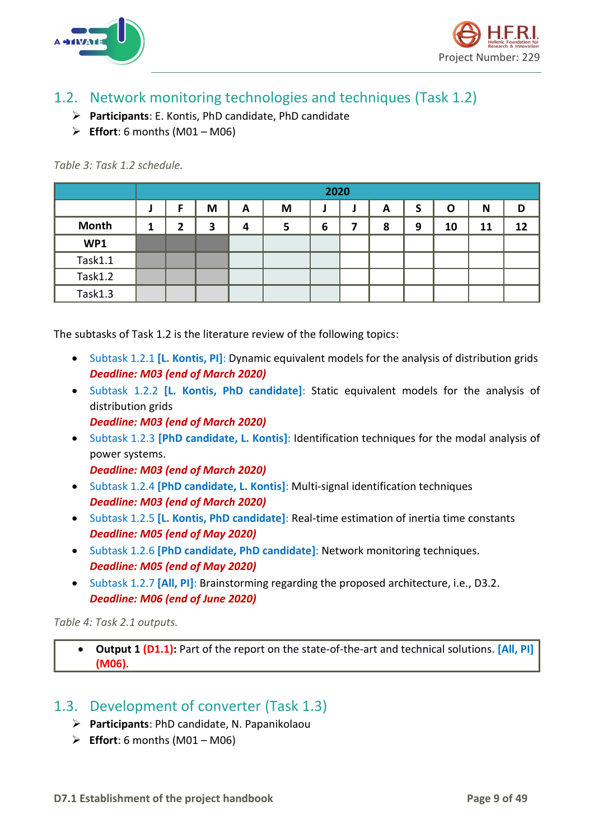



## <span id="page-8-0"></span>1.2. Network monitoring technologies and techniques (Task 1.2)

- ➢ **Participants**: Ε. Kontis, PhD candidate, PhD candidate
- $\triangleright$  **Effort**: 6 months (M01 M06)

*Table 3: Task 1.2 schedule.*

|         | 2020 |   |   |   |   |   |   |   |   |    |    |    |
|---------|------|---|---|---|---|---|---|---|---|----|----|----|
|         |      | F | M | A | M |   |   | A | S | O  | N  | D  |
| Month   | 1    | ר | 3 | 4 | 5 | 6 | 7 | 8 | 9 | 10 | 11 | 12 |
| WP1     |      |   |   |   |   |   |   |   |   |    |    |    |
| Task1.1 |      |   |   |   |   |   |   |   |   |    |    |    |
| Task1.2 |      |   |   |   |   |   |   |   |   |    |    |    |
| Task1.3 |      |   |   |   |   |   |   |   |   |    |    |    |

The subtasks of Task 1.2 is the literature review of the following topics:

- Subtask 1.2.1 **[L. Kontis, PI]**: Dynamic equivalent models for the analysis of distribution grids *Deadline: M03 (end of March 2020)*
- Subtask 1.2.2 **[L. Kontis, PhD candidate]**: Static equivalent models for the analysis of distribution grids

*Deadline: M03 (end of March 2020)*

• Subtask 1.2.3 **[PhD candidate, L. Kontis]**: Identification techniques for the modal analysis of power systems.

*Deadline: M03 (end of March 2020)*

- Subtask 1.2.4 **[PhD candidate, L. Kontis]**: Multi-signal identification techniques *Deadline: M03 (end of March 2020)*
- Subtask 1.2.5 **[L. Kontis, PhD candidate]**: Real-time estimation of inertia time constants *Deadline: M05 (end of May 2020)*
- Subtask 1.2.6 **[PhD candidate, PhD candidate]**: Network monitoring techniques. *Deadline: M05 (end of May 2020)*
- Subtask 1.2.7 **[All, PI]**: Brainstorming regarding the proposed architecture, i.e., D3.2. *Deadline: M06 (end of June 2020)*

*Table 4: Task 2.1 outputs.*

• **Output 1 (D1.1):** Part of the report on the state-of-the-art and technical solutions. **[All, PI] (M06)**.

### <span id="page-8-1"></span>1.3. Development of converter (Task 1.3)

- ➢ **Participants**: PhD candidate, N. Papanikolaou
- $\triangleright$  **Effort**: 6 months (M01 M06)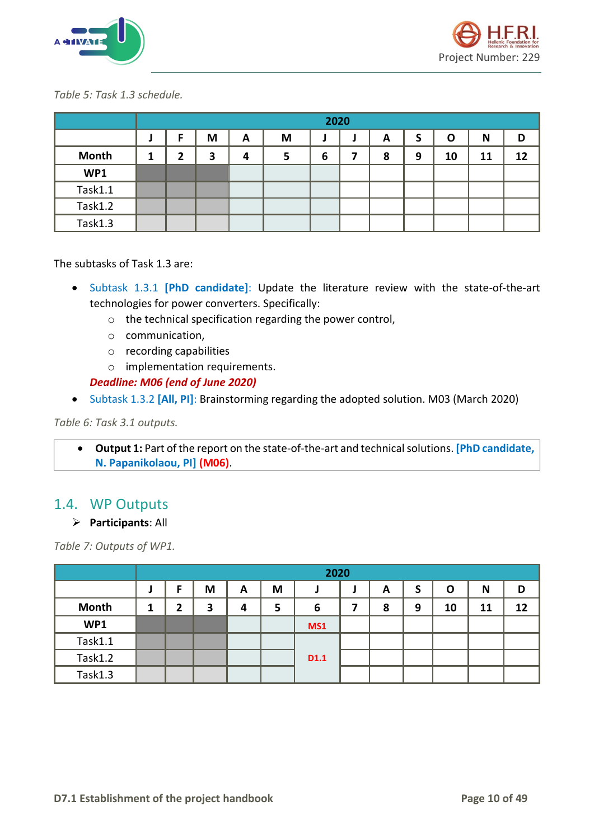



*Table 5: Task 1.3 schedule.*

|              | 2020 |   |   |   |   |   |   |   |    |    |    |
|--------------|------|---|---|---|---|---|---|---|----|----|----|
|              |      | M | A | M |   |   | A | S | O  | N  | D  |
| <b>Month</b> | 2    | 3 | 4 | 5 | 6 | 7 | 8 | 9 | 10 | 11 | 12 |
| WP1          |      |   |   |   |   |   |   |   |    |    |    |
| Task1.1      |      |   |   |   |   |   |   |   |    |    |    |
| Task1.2      |      |   |   |   |   |   |   |   |    |    |    |
| Task1.3      |      |   |   |   |   |   |   |   |    |    |    |

The subtasks of Task 1.3 are:

- Subtask 1.3.1 **[PhD candidate]**: Update the literature review with the state-of-the-art technologies for power converters. Specifically:
	- o the technical specification regarding the power control,
	- o communication,
	- o recording capabilities
	- o implementation requirements.

#### *Deadline: M06 (end of June 2020)*

• Subtask 1.3.2 **[All, PI]**: Brainstorming regarding the adopted solution. M03 (March 2020)

#### *Table 6: Task 3.1 outputs.*

• **Output 1:** Part of the report on the state-of-the-art and technical solutions. **[PhD candidate, N. Papanikolaou, PI] (M06)**.

### <span id="page-9-0"></span>1.4. WP Outputs

#### ➢ **Participants**: All

*Table 7: Outputs of WP1.*

|              |   | 2020 |   |   |   |                  |  |   |   |    |    |    |  |  |
|--------------|---|------|---|---|---|------------------|--|---|---|----|----|----|--|--|
|              |   | c    | M | A | M |                  |  | A | S | O  | N  | D  |  |  |
| <b>Month</b> | 1 | 2    | 3 | 4 | 5 | 6                |  | 8 | 9 | 10 | 11 | 12 |  |  |
| WP1          |   |      |   |   |   | MS1              |  |   |   |    |    |    |  |  |
| Task1.1      |   |      |   |   |   |                  |  |   |   |    |    |    |  |  |
| Task1.2      |   |      |   |   |   | D <sub>1.1</sub> |  |   |   |    |    |    |  |  |
| Task1.3      |   |      |   |   |   |                  |  |   |   |    |    |    |  |  |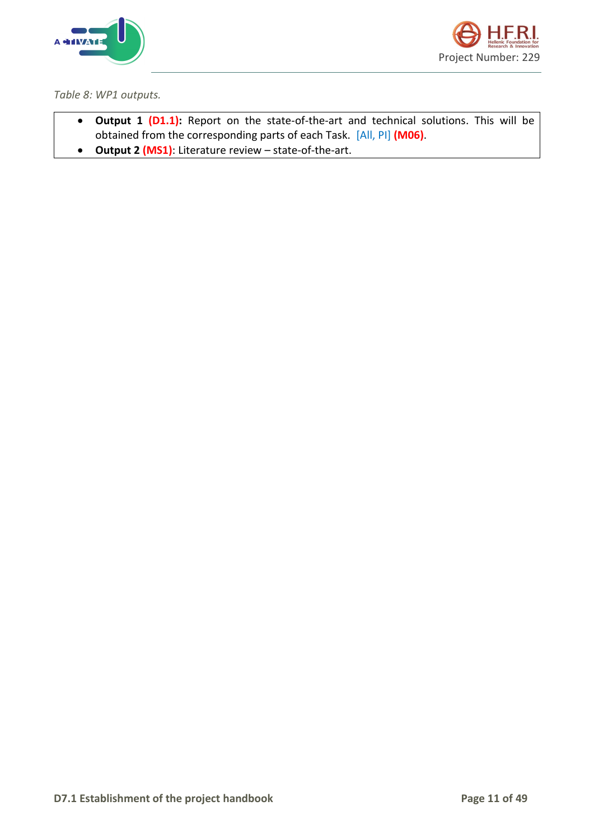



*Table 8: WP1 outputs.*

- **Output 1 (D1.1):** Report on the state-of-the-art and technical solutions. This will be obtained from the corresponding parts of each Task. [All, PI] **(M06)**.
- **Output 2 (MS1)**: Literature review state-of-the-art.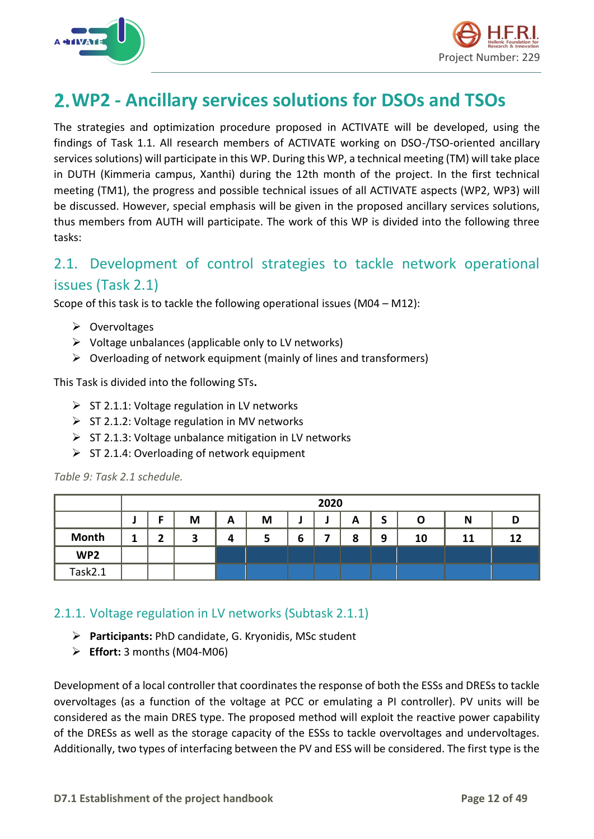



# <span id="page-11-0"></span>**WP2 - Ancillary services solutions for DSOs and TSOs**

The strategies and optimization procedure proposed in ACTIVATE will be developed, using the findings of Task 1.1. All research members of ACTIVATE working on DSO-/TSO-oriented ancillary services solutions) will participate in this WP. During this WP, a technical meeting (TM) will take place in DUTH (Kimmeria campus, Xanthi) during the 12th month of the project. In the first technical meeting (TM1), the progress and possible technical issues of all ACTIVATE aspects (WP2, WP3) will be discussed. However, special emphasis will be given in the proposed ancillary services solutions, thus members from AUTH will participate. The work of this WP is divided into the following three tasks:

## <span id="page-11-1"></span>2.1. Development of control strategies to tackle network operational issues (Task 2.1)

Scope of this task is to tackle the following operational issues (M04 – M12):

- ➢ Overvoltages
- $\triangleright$  Voltage unbalances (applicable only to LV networks)
- ➢ Overloading of network equipment (mainly of lines and transformers)

This Task is divided into the following STs**.**

- $\triangleright$  ST 2.1.1: Voltage regulation in LV networks
- $\triangleright$  ST 2.1.2: Voltage regulation in MV networks
- $\triangleright$  ST 2.1.3: Voltage unbalance mitigation in LV networks
- $\triangleright$  ST 2.1.4: Overloading of network equipment

|                 |         | 2020 |   |   |   |   |  |   |   |    |    |  |  |  |
|-----------------|---------|------|---|---|---|---|--|---|---|----|----|--|--|--|
|                 |         |      | M | A | M |   |  | A | ∽ |    | N  |  |  |  |
| <b>Month</b>    | ×<br>л. | ∍    | 3 | 4 | 5 | 6 |  | 8 | 9 | 10 | 11 |  |  |  |
| WP <sub>2</sub> |         |      |   |   |   |   |  |   |   |    |    |  |  |  |
| Task2.1         |         |      |   |   |   |   |  |   |   |    |    |  |  |  |

*Table 9: Task 2.1 schedule.*

#### <span id="page-11-2"></span>2.1.1. Voltage regulation in LV networks (Subtask 2.1.1)

- ➢ **Participants:** PhD candidate, G. Kryonidis, MSc student
- ➢ **Effort:** 3 months (M04-M06)

Development of a local controller that coordinates the response of both the ESSs and DRESs to tackle overvoltages (as a function of the voltage at PCC or emulating a PI controller). PV units will be considered as the main DRES type. The proposed method will exploit the reactive power capability of the DRESs as well as the storage capacity of the ESSs to tackle overvoltages and undervoltages. Additionally, two types of interfacing between the PV and ESS will be considered. The first type is the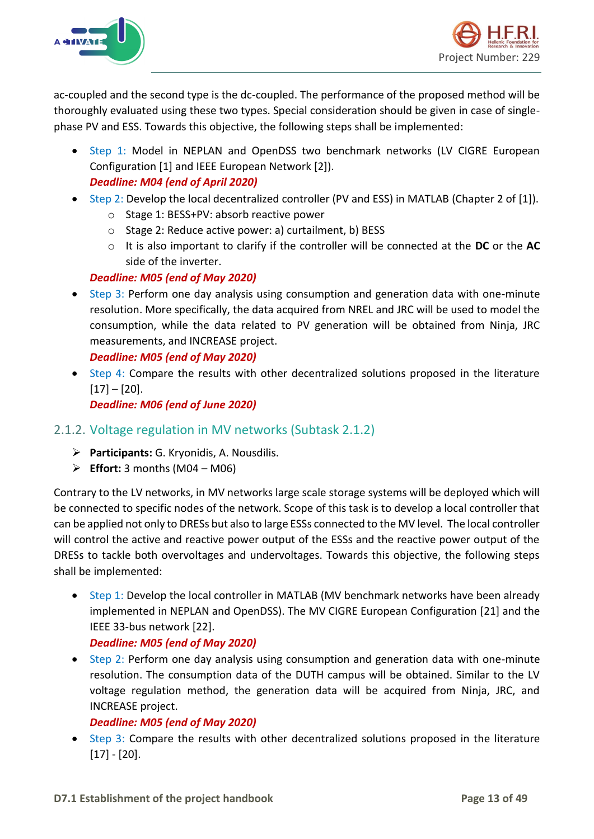



ac-coupled and the second type is the dc-coupled. The performance of the proposed method will be thoroughly evaluated using these two types. Special consideration should be given in case of singlephase PV and ESS. Towards this objective, the following steps shall be implemented:

- Step 1: Model in NEPLAN and OpenDSS two benchmark networks (LV CIGRE European Configuration [\[1\]](#page-47-1) and IEEE European Network [\[2\]\)](#page-47-2). *Deadline: M04 (end of April 2020)*
- Step 2: Develop the local decentralized controller (PV and ESS) in MATLAB (Chapter 2 o[f \[1\]\)](#page-47-1).
	- o Stage 1: BESS+PV: absorb reactive power
	- o Stage 2: Reduce active power: a) curtailment, b) BESS
	- o It is also important to clarify if the controller will be connected at the **DC** or the **AC** side of the inverter.

#### *Deadline: M05 (end of May 2020)*

- Step 3: Perform one day analysis using consumption and generation data with one-minute resolution. More specifically, the data acquired from NREL and JRC will be used to model the consumption, while the data related to PV generation will be obtained from Ninja, JRC measurements, and INCREASE project.
	- *Deadline: M05 (end of May 2020)*
- Step 4: Compare the results with other decentralized solutions proposed in the literature  $[17] - [20]$  $[17] - [20]$ .

*Deadline: M06 (end of June 2020)*

#### <span id="page-12-0"></span>2.1.2. Voltage regulation in MV networks (Subtask 2.1.2)

- ➢ **Participants:** G. Kryonidis, A. Nousdilis.
- ➢ **Effort:** 3 months (M04 M06)

Contrary to the LV networks, in MV networks large scale storage systems will be deployed which will be connected to specific nodes of the network. Scope of this task is to develop a local controller that can be applied not only to DRESs but also to large ESSs connected to the MV level. The local controller will control the active and reactive power output of the ESSs and the reactive power output of the DRESs to tackle both overvoltages and undervoltages. Towards this objective, the following steps shall be implemented:

• Step 1: Develop the local controller in MATLAB (MV benchmark networks have been already implemented in NEPLAN and OpenDSS). The MV CIGRE European Configuration [\[21\]](#page-47-5) and the IEEE 33-bus network [\[22\].](#page-47-6)

#### *Deadline: M05 (end of May 2020)*

• Step 2: Perform one day analysis using consumption and generation data with one-minute resolution. The consumption data of the DUTH campus will be obtained. Similar to the LV voltage regulation method, the generation data will be acquired from Ninja, JRC, and INCREASE project.

*Deadline: M05 (end of May 2020)*

• Step 3: Compare the results with other decentralized solutions proposed in the literature [\[17\]](#page-47-3) - [\[20\].](#page-47-4)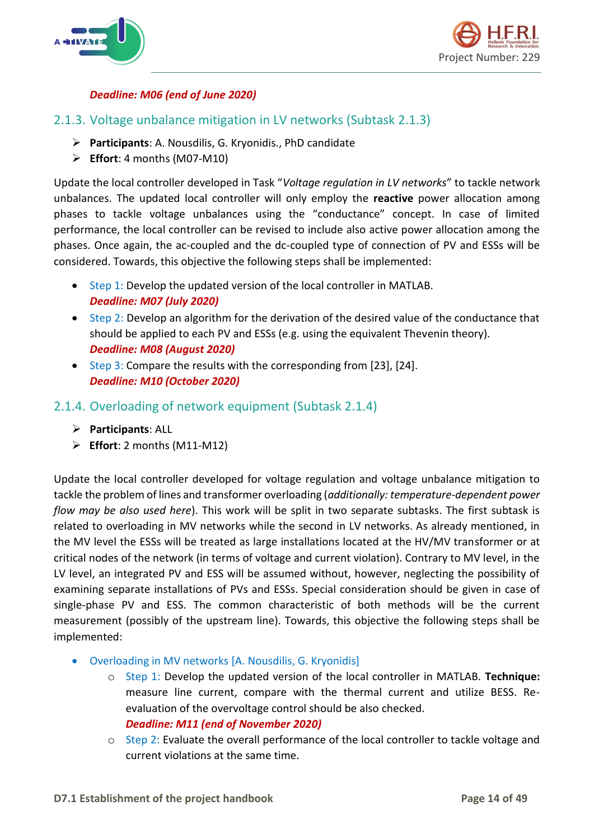



#### *Deadline: M06 (end of June 2020)*

#### <span id="page-13-0"></span>2.1.3. Voltage unbalance mitigation in LV networks (Subtask 2.1.3)

- ➢ **Participants**: A. Nousdilis, G. Kryonidis., PhD candidate
- ➢ **Effort**: 4 months (M07-M10)

Update the local controller developed in Task "*Voltage regulation in LV networks*" to tackle network unbalances. The updated local controller will only employ the **reactive** power allocation among phases to tackle voltage unbalances using the "conductance" concept. In case of limited performance, the local controller can be revised to include also active power allocation among the phases. Once again, the ac-coupled and the dc-coupled type of connection of PV and ESSs will be considered. Towards, this objective the following steps shall be implemented:

- Step 1: Develop the updated version of the local controller in MATLAB. *Deadline: M07 (July 2020)*
- Step 2: Develop an algorithm for the derivation of the desired value of the conductance that should be applied to each PV and ESSs (e.g. using the equivalent Thevenin theory). *Deadline: M08 (August 2020)*
- Step 3: Compare the results with the corresponding from [\[23\],](#page-47-7) [\[24\].](#page-47-8) *Deadline: M10 (October 2020)*
- <span id="page-13-1"></span>2.1.4. Overloading of network equipment (Subtask 2.1.4)
	- ➢ **Participants**: ALL
	- ➢ **Effort**: 2 months (M11-M12)

Update the local controller developed for voltage regulation and voltage unbalance mitigation to tackle the problem of lines and transformer overloading (*additionally: temperature-dependent power flow may be also used here*). This work will be split in two separate subtasks. The first subtask is related to overloading in MV networks while the second in LV networks. As already mentioned, in the MV level the ESSs will be treated as large installations located at the HV/MV transformer or at critical nodes of the network (in terms of voltage and current violation). Contrary to MV level, in the LV level, an integrated PV and ESS will be assumed without, however, neglecting the possibility of examining separate installations of PVs and ESSs. Special consideration should be given in case of single-phase PV and ESS. The common characteristic of both methods will be the current measurement (possibly of the upstream line). Towards, this objective the following steps shall be implemented:

- Overloading in MV networks [A. Nousdilis, G. Kryonidis]
	- o Step 1: Develop the updated version of the local controller in MATLAB. **Technique:** measure line current, compare with the thermal current and utilize BESS. Reevaluation of the overvoltage control should be also checked. *Deadline: M11 (end of November 2020)*
	- o Step 2: Evaluate the overall performance of the local controller to tackle voltage and current violations at the same time.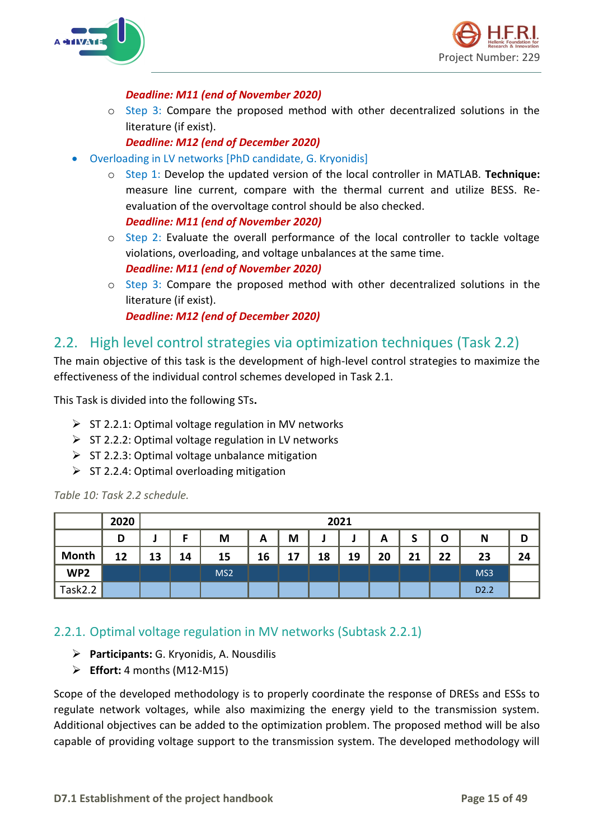



#### *Deadline: M11 (end of November 2020)*

o Step 3: Compare the proposed method with other decentralized solutions in the literature (if exist).

#### *Deadline: M12 (end of December 2020)*

- Overloading in LV networks [PhD candidate, G. Kryonidis]
	- o Step 1: Develop the updated version of the local controller in MATLAB. **Technique:** measure line current, compare with the thermal current and utilize BESS. Reevaluation of the overvoltage control should be also checked. *Deadline: M11 (end of November 2020)*
	- o Step 2: Evaluate the overall performance of the local controller to tackle voltage violations, overloading, and voltage unbalances at the same time. *Deadline: M11 (end of November 2020)*
	- o Step 3: Compare the proposed method with other decentralized solutions in the literature (if exist).

*Deadline: M12 (end of December 2020)*

### <span id="page-14-0"></span>2.2. High level control strategies via optimization techniques (Task 2.2)

The main objective of this task is the development of high-level control strategies to maximize the effectiveness of the individual control schemes developed in Task 2.1.

This Task is divided into the following STs**.**

- $\triangleright$  ST 2.2.1: Optimal voltage regulation in MV networks
- $\triangleright$  ST 2.2.2: Optimal voltage regulation in LV networks
- $\triangleright$  ST 2.2.3: Optimal voltage unbalance mitigation
- $\triangleright$  ST 2.2.4: Optimal overloading mitigation

|                 | 2020 |    |    |                 |    |    |    | 2021 |    |    |    |                  |    |
|-----------------|------|----|----|-----------------|----|----|----|------|----|----|----|------------------|----|
|                 | D    |    | E  | M               | A  | M  |    |      | A  | C  | O  | N                |    |
| <b>Month</b>    | 12   | 13 | 14 | 15              | 16 | 17 | 18 | 19   | 20 | 21 | 22 | 23               | 24 |
| WP <sub>2</sub> |      |    |    | MS <sub>2</sub> |    |    |    |      |    |    |    | MS3              |    |
| Task2.2         |      |    |    |                 |    |    |    |      |    |    |    | D <sub>2.2</sub> |    |

*Table 10: Task 2.2 schedule.*

#### <span id="page-14-1"></span>2.2.1. Optimal voltage regulation in MV networks (Subtask 2.2.1)

- ➢ **Participants:** G. Kryonidis, A. Nousdilis
- ➢ **Effort:** 4 months (M12-M15)

Scope of the developed methodology is to properly coordinate the response of DRESs and ESSs to regulate network voltages, while also maximizing the energy yield to the transmission system. Additional objectives can be added to the optimization problem. The proposed method will be also capable of providing voltage support to the transmission system. The developed methodology will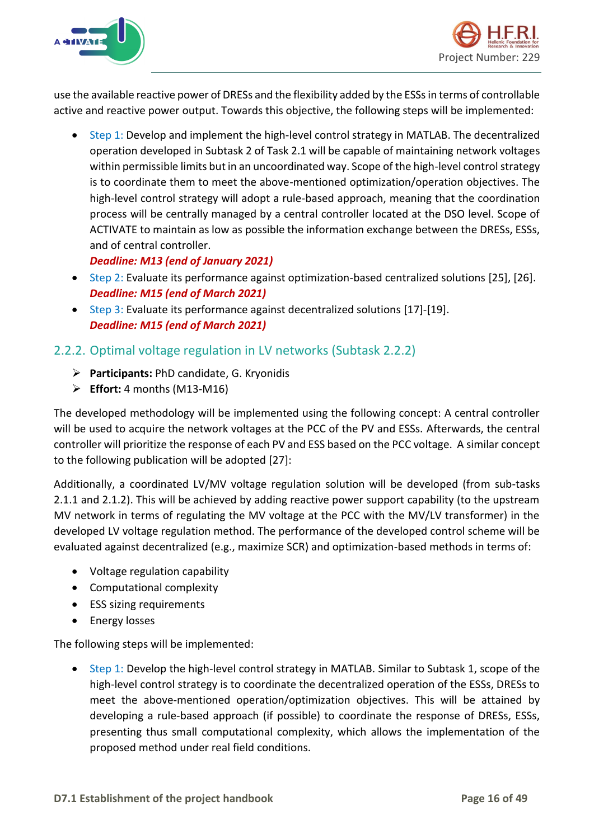



use the available reactive power of DRESs and the flexibility added by the ESSs in terms of controllable active and reactive power output. Towards this objective, the following steps will be implemented:

• Step 1: Develop and implement the high-level control strategy in MATLAB. The decentralized operation developed in Subtask 2 of Task 2.1 will be capable of maintaining network voltages within permissible limits but in an uncoordinated way. Scope of the high-level control strategy is to coordinate them to meet the above-mentioned optimization/operation objectives. The high-level control strategy will adopt a rule-based approach, meaning that the coordination process will be centrally managed by a central controller located at the DSO level. Scope of ACTIVATE to maintain as low as possible the information exchange between the DRESs, ESSs, and of central controller.

*Deadline: M13 (end of January 2021)*

- Step 2: Evaluate its performance against optimization-based centralized solutions [\[25\],](#page-48-0) [\[26\].](#page-48-1) *Deadline: M15 (end of March 2021)*
- Step 3: Evaluate its performance against decentralized solutions [\[17\]](#page-47-3)[-\[19\].](#page-47-9) *Deadline: M15 (end of March 2021)*

#### <span id="page-15-0"></span>2.2.2. Optimal voltage regulation in LV networks (Subtask 2.2.2)

- ➢ **Participants:** PhD candidate, G. Kryonidis
- ➢ **Effort:** 4 months (M13-M16)

The developed methodology will be implemented using the following concept: A central controller will be used to acquire the network voltages at the PCC of the PV and ESSs. Afterwards, the central controller will prioritize the response of each PV and ESS based on the PCC voltage. A similar concept to the following publication will be adopted [\[27\]:](#page-48-2)

Additionally, a coordinated LV/MV voltage regulation solution will be developed (from sub-tasks 2.1.1 and 2.1.2). This will be achieved by adding reactive power support capability (to the upstream MV network in terms of regulating the MV voltage at the PCC with the MV/LV transformer) in the developed LV voltage regulation method. The performance of the developed control scheme will be evaluated against decentralized (e.g., maximize SCR) and optimization-based methods in terms of:

- Voltage regulation capability
- Computational complexity
- ESS sizing requirements
- Energy losses

The following steps will be implemented:

• Step 1: Develop the high-level control strategy in MATLAB. Similar to Subtask 1, scope of the high-level control strategy is to coordinate the decentralized operation of the ESSs, DRESs to meet the above-mentioned operation/optimization objectives. This will be attained by developing a rule-based approach (if possible) to coordinate the response of DRESs, ESSs, presenting thus small computational complexity, which allows the implementation of the proposed method under real field conditions.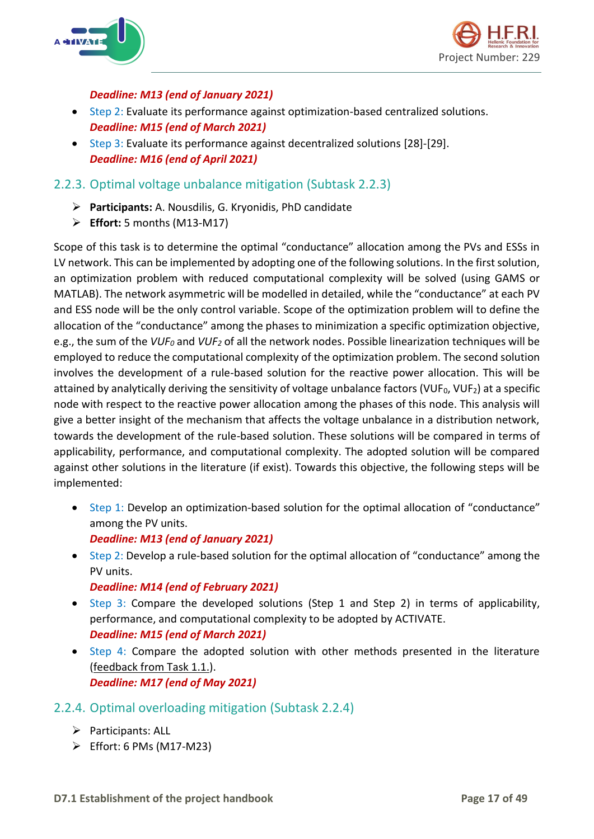



#### *Deadline: M13 (end of January 2021)*

- Step 2: Evaluate its performance against optimization-based centralized solutions. *Deadline: M15 (end of March 2021)*
- Step 3: Evaluate its performance against decentralized solutions [\[28\]](#page-48-3)[-\[29\].](#page-48-4) *Deadline: M16 (end of April 2021)*

#### <span id="page-16-0"></span>2.2.3. Optimal voltage unbalance mitigation (Subtask 2.2.3)

- ➢ **Participants:** A. Nousdilis, G. Kryonidis, PhD candidate
- ➢ **Effort:** 5 months (M13-M17)

Scope of this task is to determine the optimal "conductance" allocation among the PVs and ESSs in LV network. This can be implemented by adopting one of the following solutions. In the first solution, an optimization problem with reduced computational complexity will be solved (using GAMS or MATLAB). The network asymmetric will be modelled in detailed, while the "conductance" at each PV and ESS node will be the only control variable. Scope of the optimization problem will to define the allocation of the "conductance" among the phases to minimization a specific optimization objective, e.g., the sum of the *VUF<sup>0</sup>* and *VUF<sup>2</sup>* of all the network nodes. Possible linearization techniques will be employed to reduce the computational complexity of the optimization problem. The second solution involves the development of a rule-based solution for the reactive power allocation. This will be attained by analytically deriving the sensitivity of voltage unbalance factors (VUF $_0$ , VUF<sub>2</sub>) at a specific node with respect to the reactive power allocation among the phases of this node. This analysis will give a better insight of the mechanism that affects the voltage unbalance in a distribution network, towards the development of the rule-based solution. These solutions will be compared in terms of applicability, performance, and computational complexity. The adopted solution will be compared against other solutions in the literature (if exist). Towards this objective, the following steps will be implemented:

- Step 1: Develop an optimization-based solution for the optimal allocation of "conductance" among the PV units.
	- *Deadline: M13 (end of January 2021)*
- Step 2: Develop a rule-based solution for the optimal allocation of "conductance" among the PV units.
	- *Deadline: M14 (end of February 2021)*
- Step 3: Compare the developed solutions (Step 1 and Step 2) in terms of applicability, performance, and computational complexity to be adopted by ACTIVATE. *Deadline: M15 (end of March 2021)*
- Step 4: Compare the adopted solution with other methods presented in the literature (feedback from Task 1.1.). *Deadline: M17 (end of May 2021)*
- <span id="page-16-1"></span>2.2.4. Optimal overloading mitigation (Subtask 2.2.4)
	- ➢ Participants: ALL
	- $\triangleright$  Effort: 6 PMs (M17-M23)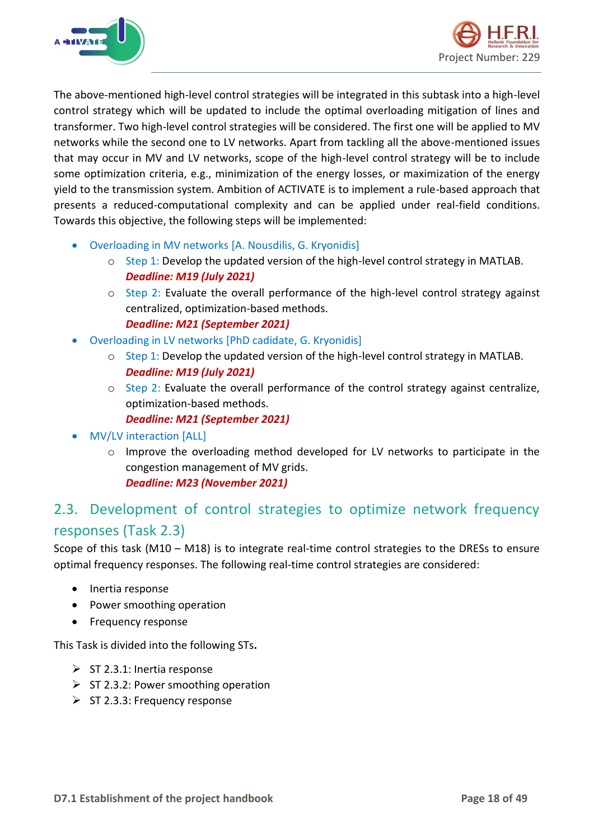



The above-mentioned high-level control strategies will be integrated in this subtask into a high-level control strategy which will be updated to include the optimal overloading mitigation of lines and transformer. Two high-level control strategies will be considered. The first one will be applied to MV networks while the second one to LV networks. Apart from tackling all the above-mentioned issues that may occur in MV and LV networks, scope of the high-level control strategy will be to include some optimization criteria, e.g., minimization of the energy losses, or maximization of the energy yield to the transmission system. Ambition of ACTIVATE is to implement a rule-based approach that presents a reduced-computational complexity and can be applied under real-field conditions. Towards this objective, the following steps will be implemented:

- Overloading in MV networks [A. Nousdilis, G. Kryonidis]
	- o Step 1: Develop the updated version of the high-level control strategy in MATLAB. *Deadline: M19 (July 2021)*
	- o Step 2: Evaluate the overall performance of the high-level control strategy against centralized, optimization-based methods. *Deadline: M21 (September 2021)*
- Overloading in LV networks [PhD cadidate, G. Kryonidis]
	- o Step 1: Develop the updated version of the high-level control strategy in MATLAB. *Deadline: M19 (July 2021)*
	- o Step 2: Evaluate the overall performance of the control strategy against centralize, optimization-based methods.
		- *Deadline: M21 (September 2021)*
- MV/LV interaction [ALL]
	- o Improve the overloading method developed for LV networks to participate in the congestion management of MV grids. *Deadline: M23 (November 2021)*

## <span id="page-17-0"></span>2.3. Development of control strategies to optimize network frequency responses (Task 2.3)

Scope of this task (M10 – M18) is to integrate real-time control strategies to the DRESs to ensure optimal frequency responses. The following real-time control strategies are considered:

- Inertia response
- Power smoothing operation
- Frequency response

This Task is divided into the following STs**.**

- ➢ ST 2.3.1: Inertia response
- $\triangleright$  ST 2.3.2: Power smoothing operation
- $\triangleright$  ST 2.3.3: Frequency response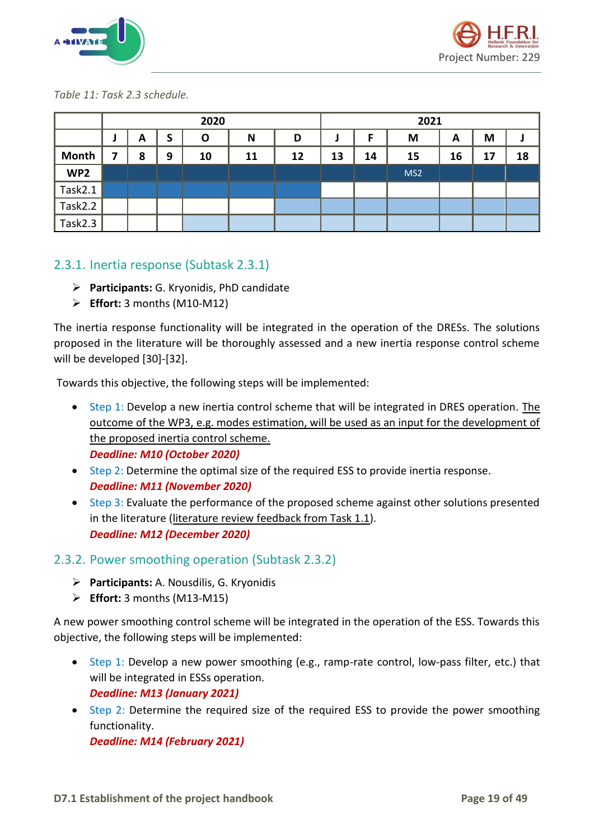



*Table 11: Task 2.3 schedule.*

|                 |   |   |   | 2020 |    |    |    |    | 2021            |    |    |    |
|-----------------|---|---|---|------|----|----|----|----|-----------------|----|----|----|
|                 |   | A | S | O    | N  | D  |    | F  | M               | A  | Μ  |    |
| Month           | - | 8 | 9 | 10   | 11 | 12 | 13 | 14 | 15              | 16 | 17 | 18 |
| WP <sub>2</sub> |   |   |   |      |    |    |    |    | MS <sub>2</sub> |    |    |    |
| Task2.1         |   |   |   |      |    |    |    |    |                 |    |    |    |
| Task2.2         |   |   |   |      |    |    |    |    |                 |    |    |    |
| Task2.3         |   |   |   |      |    |    |    |    |                 |    |    |    |

#### <span id="page-18-0"></span>2.3.1. Inertia response (Subtask 2.3.1)

- ➢ **Participants:** G. Kryonidis, PhD candidate
- ➢ **Effort:** 3 months (M10-M12)

The inertia response functionality will be integrated in the operation of the DRESs. The solutions proposed in the literature will be thoroughly assessed and a new inertia response control scheme will be developed [\[30\]](#page-48-5)[-\[32\].](#page-48-6)

Towards this objective, the following steps will be implemented:

- Step 1: Develop a new inertia control scheme that will be integrated in DRES operation. The outcome of the WP3, e.g. modes estimation, will be used as an input for the development of the proposed inertia control scheme. *Deadline: M10 (October 2020)*
- Step 2: Determine the optimal size of the required ESS to provide inertia response. *Deadline: M11 (November 2020)*
- Step 3: Evaluate the performance of the proposed scheme against other solutions presented in the literature (literature review feedback from Task 1.1). *Deadline: M12 (December 2020)*

#### <span id="page-18-1"></span>2.3.2. Power smoothing operation (Subtask 2.3.2)

- ➢ **Participants:** A. Nousdilis, G. Kryonidis
- ➢ **Effort:** 3 months (M13-M15)

A new power smoothing control scheme will be integrated in the operation of the ESS. Towards this objective, the following steps will be implemented:

- Step 1: Develop a new power smoothing (e.g., ramp-rate control, low-pass filter, etc.) that will be integrated in ESSs operation. *Deadline: M13 (January 2021)*
- Step 2: Determine the required size of the required ESS to provide the power smoothing functionality.

*Deadline: M14 (February 2021)*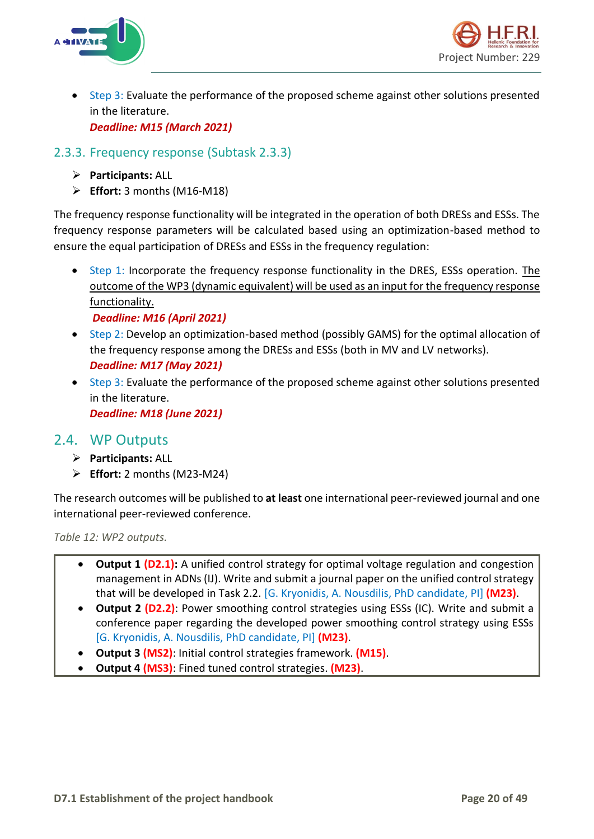



• Step 3: Evaluate the performance of the proposed scheme against other solutions presented in the literature.

*Deadline: M15 (March 2021)*

### <span id="page-19-0"></span>2.3.3. Frequency response (Subtask 2.3.3)

- ➢ **Participants:** ALL
- ➢ **Effort:** 3 months (M16-M18)

The frequency response functionality will be integrated in the operation of both DRESs and ESSs. The frequency response parameters will be calculated based using an optimization-based method to ensure the equal participation of DRESs and ESSs in the frequency regulation:

- Step 1: Incorporate the frequency response functionality in the DRES, ESSs operation. The outcome of the WP3 (dynamic equivalent) will be used as an input for the frequency response functionality.
	- *Deadline: M16 (April 2021)*
- Step 2: Develop an optimization-based method (possibly GAMS) for the optimal allocation of the frequency response among the DRESs and ESSs (both in MV and LV networks). *Deadline: M17 (May 2021)*
- Step 3: Evaluate the performance of the proposed scheme against other solutions presented in the literature. *Deadline: M18 (June 2021)*

#### <span id="page-19-1"></span>2.4. WP Outputs

- ➢ **Participants:** ALL
- ➢ **Effort:** 2 months (M23-M24)

The research outcomes will be published to **at least** one international peer-reviewed journal and one international peer-reviewed conference.

*Table 12: WP2 outputs.*

- **Output 1 (D2.1):** A unified control strategy for optimal voltage regulation and congestion management in ADNs (IJ). Write and submit a journal paper on the unified control strategy that will be developed in Task 2.2. [G. Kryonidis, A. Nousdilis, PhD candidate, PI] **(M23)**.
- **Output 2 (D2.2)**: Power smoothing control strategies using ESSs (IC). Write and submit a conference paper regarding the developed power smoothing control strategy using ESSs [G. Kryonidis, A. Nousdilis, PhD candidate, PI] **(M23)**.
- **Output 3 (MS2)**: Initial control strategies framework. **(M15)**.
- **Output 4 (MS3)**: Fined tuned control strategies. **(M23)**.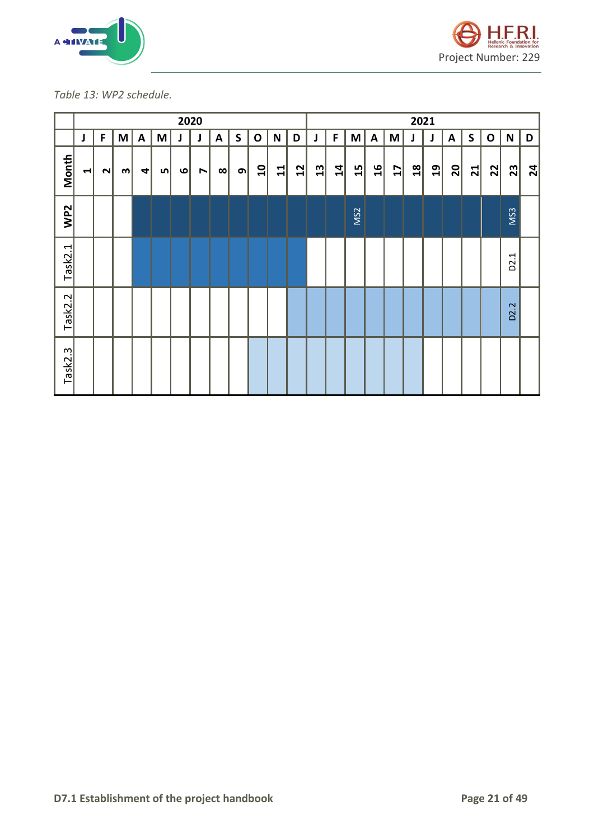



*Table 13: WP2 schedule.*

|                 |                      |        |   |                      |    | 2020                  |                          |          |              |                         |             |                |               |               |                 |                |    | 2021           |                |                 |               |              |             |    |
|-----------------|----------------------|--------|---|----------------------|----|-----------------------|--------------------------|----------|--------------|-------------------------|-------------|----------------|---------------|---------------|-----------------|----------------|----|----------------|----------------|-----------------|---------------|--------------|-------------|----|
|                 | J                    | F      | M | A                    | M  | J                     | J                        | A        | $\mathsf{S}$ | $\mathbf{o}$            | $\mathbf N$ | D              | J             | F             | M               | A              | M  | J              | J              | A               | $\mathsf{S}$  | $\mathbf{o}$ | $\mathsf N$ | D  |
| Month           | $\blacktriangleleft$ | $\sim$ | m | $\blacktriangleleft$ | LŊ | $\boldsymbol{\omega}$ | $\overline{\phantom{a}}$ | $\infty$ | თ            | $\overline{\mathbf{c}}$ | 11          | 2 <sub>2</sub> | $\frac{2}{3}$ | $\frac{1}{4}$ | $\frac{15}{2}$  | $\frac{16}{2}$ | 17 | $\frac{8}{18}$ | $\overline{a}$ | $\overline{20}$ | $\frac{1}{2}$ | 22           | 23          | 24 |
| WP <sub>2</sub> |                      |        |   |                      |    |                       |                          |          |              |                         |             |                |               |               | $\overline{MS}$ |                |    |                |                |                 |               |              | MS3         |    |
| Task2.1         |                      |        |   |                      |    |                       |                          |          |              |                         |             |                |               |               |                 |                |    |                |                |                 |               |              | D2.1        |    |
| Task2.2         |                      |        |   |                      |    |                       |                          |          |              |                         |             |                |               |               |                 |                |    |                |                |                 |               |              | D2.2        |    |
| Task2.3         |                      |        |   |                      |    |                       |                          |          |              |                         |             |                |               |               |                 |                |    |                |                |                 |               |              |             |    |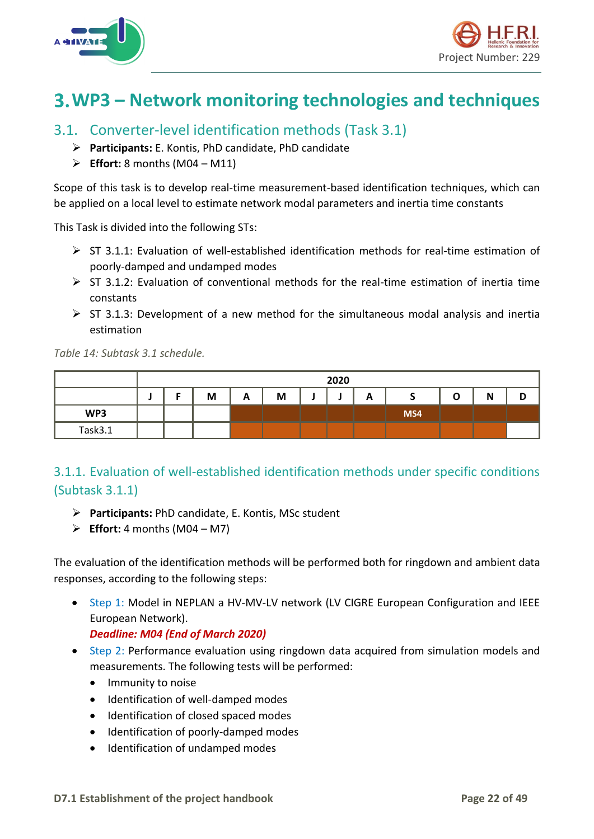



# <span id="page-21-0"></span>**WP3 – Network monitoring technologies and techniques**

### <span id="page-21-1"></span>3.1. Converter-level identification methods (Task 3.1)

- ➢ **Participants:** Ε. Kontis, PhD candidate, PhD candidate
- $\triangleright$  **Effort:** 8 months (M04 M11)

Scope of this task is to develop real-time measurement-based identification techniques, which can be applied on a local level to estimate network modal parameters and inertia time constants

This Task is divided into the following STs:

- $\triangleright$  ST 3.1.1: Evaluation of well-established identification methods for real-time estimation of poorly-damped and undamped modes
- $\triangleright$  ST 3.1.2: Evaluation of conventional methods for the real-time estimation of inertia time constants
- $\triangleright$  ST 3.1.3: Development of a new method for the simultaneous modal analysis and inertia estimation

*Table 14: Subtask 3.1 schedule.*

|         |  |   |   |   | 2020 |   |     |   |   |   |
|---------|--|---|---|---|------|---|-----|---|---|---|
|         |  | M | A | M |      | Ħ |     | O | N | ш |
| WP3     |  |   |   |   |      |   | MS4 |   |   |   |
| Task3.1 |  |   |   |   |      |   |     |   |   |   |

### <span id="page-21-2"></span>3.1.1. Evaluation of well-established identification methods under specific conditions (Subtask 3.1.1)

- ➢ **Participants:** PhD candidate, E. Kontis, MSc student
- $\triangleright$  **Effort:** 4 months (M04 M7)

The evaluation of the identification methods will be performed both for ringdown and ambient data responses, according to the following steps:

• Step 1: Model in NEPLAN a HV-MV-LV network (LV CIGRE European Configuration and IEEE European Network).

#### *Deadline: M04 (End of March 2020)*

- Step 2: Performance evaluation using ringdown data acquired from simulation models and measurements. The following tests will be performed:
	- Immunity to noise
	- Identification of well-damped modes
	- Identification of closed spaced modes
	- Identification of poorly-damped modes
	- Identification of undamped modes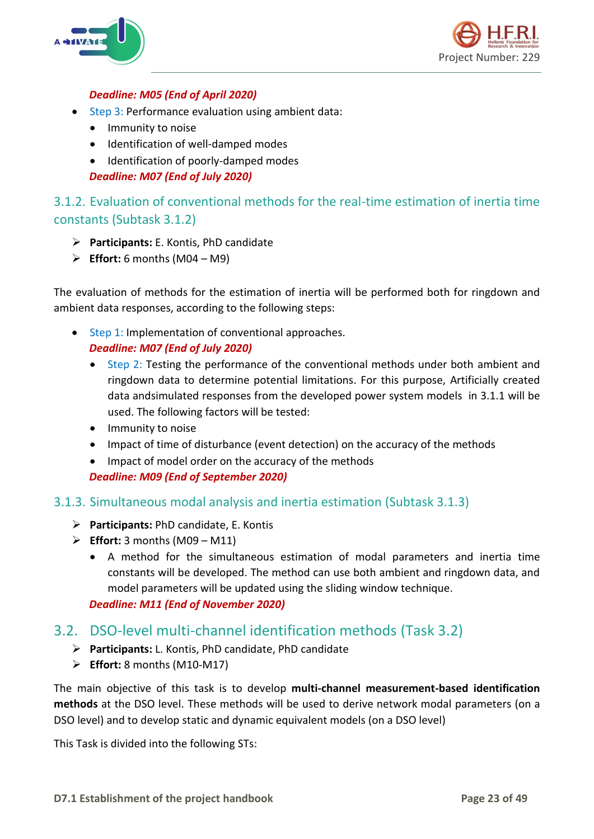



#### *Deadline: M05 (End of April 2020)*

- Step 3: Performance evaluation using ambient data:
	- Immunity to noise
	- Identification of well-damped modes
	- Identification of poorly-damped modes *Deadline: M07 (End of July 2020)*

### <span id="page-22-0"></span>3.1.2. Evaluation of conventional methods for the real-time estimation of inertia time constants (Subtask 3.1.2)

- ➢ **Participants:** Ε. Kontis, PhD candidate
- $\triangleright$  **Effort:** 6 months (M04 M9)

The evaluation of methods for the estimation of inertia will be performed both for ringdown and ambient data responses, according to the following steps:

- Step 1: Implementation of conventional approaches. *Deadline: M07 (End of July 2020)*
	- Step 2: Testing the performance of the conventional methods under both ambient and ringdown data to determine potential limitations. For this purpose, Artificially created data andsimulated responses from the developed power system models in 3.1.1 will be used. The following factors will be tested:
	- Immunity to noise
	- Impact of time of disturbance (event detection) on the accuracy of the methods
	- Impact of model order on the accuracy of the methods *Deadline: M09 (End of September 2020)*

#### <span id="page-22-1"></span>3.1.3. Simultaneous modal analysis and inertia estimation (Subtask 3.1.3)

- ➢ **Participants:** PhD candidate, E. Kontis
- $\triangleright$  **Effort:** 3 months (M09 M11)
	- A method for the simultaneous estimation of modal parameters and inertia time constants will be developed. The method can use both ambient and ringdown data, and model parameters will be updated using the sliding window technique. *Deadline: M11 (End of November 2020)*

### <span id="page-22-2"></span>3.2. DSO-level multi-channel identification methods (Task 3.2)

- ➢ **Participants:** L. Kontis, PhD candidate, PhD candidate
- ➢ **Effort:** 8 months (M10-M17)

The main objective of this task is to develop **multi-channel measurement-based identification methods** at the DSO level. These methods will be used to derive network modal parameters (on a DSO level) and to develop static and dynamic equivalent models (on a DSO level)

This Task is divided into the following STs: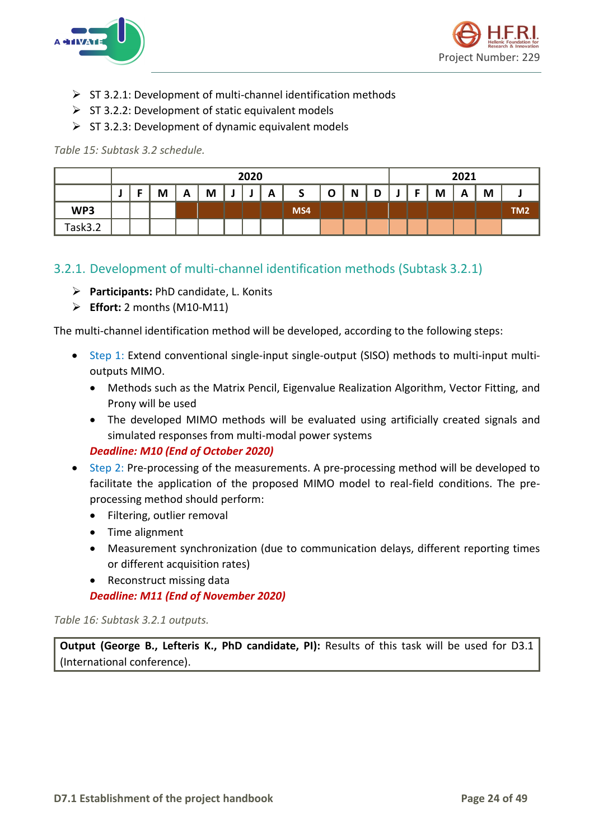



- $\triangleright$  ST 3.2.1: Development of multi-channel identification methods
- ➢ ST 3.2.2: Development of static equivalent models
- $\triangleright$  ST 3.2.3: Development of dynamic equivalent models

*Table 15: Subtask 3.2 schedule.*

|         |  |   |   |   | 2020 |   |        |   |   | 2021 |  |   |   |   |                 |
|---------|--|---|---|---|------|---|--------|---|---|------|--|---|---|---|-----------------|
|         |  | M | A | M |      | A | ◠<br>э | O | N | D    |  | M | Ā | M |                 |
| WP3     |  |   |   |   |      |   | MS4    |   |   |      |  |   |   |   | TM <sub>2</sub> |
| Task3.2 |  |   |   |   |      |   |        |   |   |      |  |   |   |   |                 |

#### <span id="page-23-0"></span>3.2.1. Development of multi-channel identification methods (Subtask 3.2.1)

- ➢ **Participants:** PhD candidate, L. Konits
- ➢ **Effort:** 2 months (M10-M11)

The multi-channel identification method will be developed, according to the following steps:

- Step 1: Extend conventional single-input single-output (SISO) methods to multi-input multioutputs MIMO.
	- Methods such as the Matrix Pencil, Eigenvalue Realization Algorithm, Vector Fitting, and Prony will be used
	- The developed MIMO methods will be evaluated using artificially created signals and simulated responses from multi-modal power systems

#### *Deadline: M10 (End of October 2020)*

- Step 2: Pre-processing of the measurements. A pre-processing method will be developed to facilitate the application of the proposed MIMO model to real-field conditions. The preprocessing method should perform:
	- Filtering, outlier removal
	- Time alignment
	- Measurement synchronization (due to communication delays, different reporting times or different acquisition rates)
	- Reconstruct missing data *Deadline: M11 (End of November 2020)*

*Table 16: Subtask 3.2.1 outputs.*

**Output (George B., Lefteris K., PhD candidate, PI):** Results of this task will be used for D3.1 (International conference).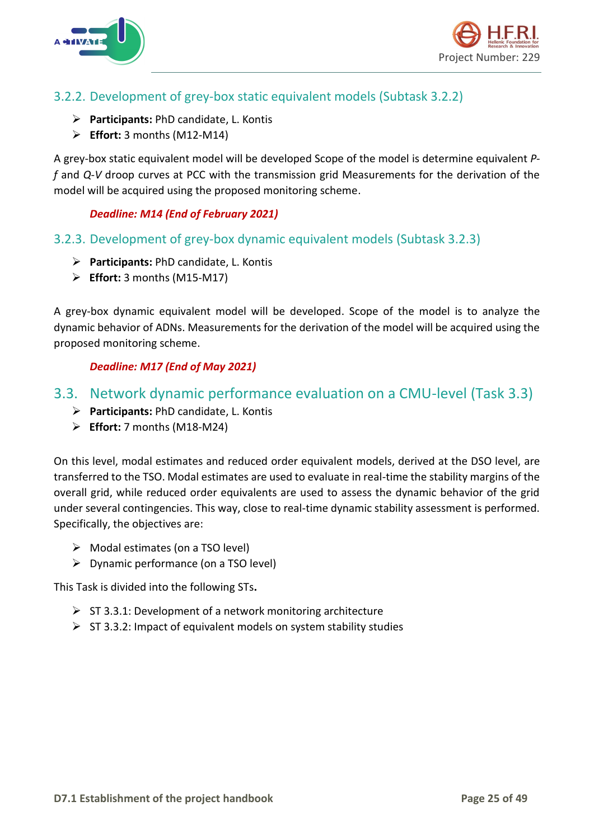



### <span id="page-24-0"></span>3.2.2. Development of grey-box static equivalent models (Subtask 3.2.2)

- ➢ **Participants:** PhD candidate, L. Kontis
- ➢ **Effort:** 3 months (M12-M14)

A grey-box static equivalent model will be developed Scope of the model is determine equivalent *Pf* and *Q*-*V* droop curves at PCC with the transmission grid Measurements for the derivation of the model will be acquired using the proposed monitoring scheme.

#### *Deadline: M14 (End of February 2021)*

- <span id="page-24-1"></span>3.2.3. Development of grey-box dynamic equivalent models (Subtask 3.2.3)
	- ➢ **Participants:** PhD candidate, L. Kontis
	- ➢ **Effort:** 3 months (M15-M17)

A grey-box dynamic equivalent model will be developed. Scope of the model is to analyze the dynamic behavior of ADNs. Measurements for the derivation of the model will be acquired using the proposed monitoring scheme.

#### *Deadline: M17 (End of May 2021)*

### <span id="page-24-2"></span>3.3. Network dynamic performance evaluation on a CMU-level (Task 3.3)

- ➢ **Participants:** PhD candidate, L. Kontis
- ➢ **Effort:** 7 months (M18-M24)

On this level, modal estimates and reduced order equivalent models, derived at the DSO level, are transferred to the TSO. Modal estimates are used to evaluate in real-time the stability margins of the overall grid, while reduced order equivalents are used to assess the dynamic behavior of the grid under several contingencies. This way, close to real-time dynamic stability assessment is performed. Specifically, the objectives are:

- ➢ Modal estimates (on a TSO level)
- ➢ Dynamic performance (on a TSO level)

This Task is divided into the following STs**.**

- $\triangleright$  ST 3.3.1: Development of a network monitoring architecture
- $\triangleright$  ST 3.3.2: Impact of equivalent models on system stability studies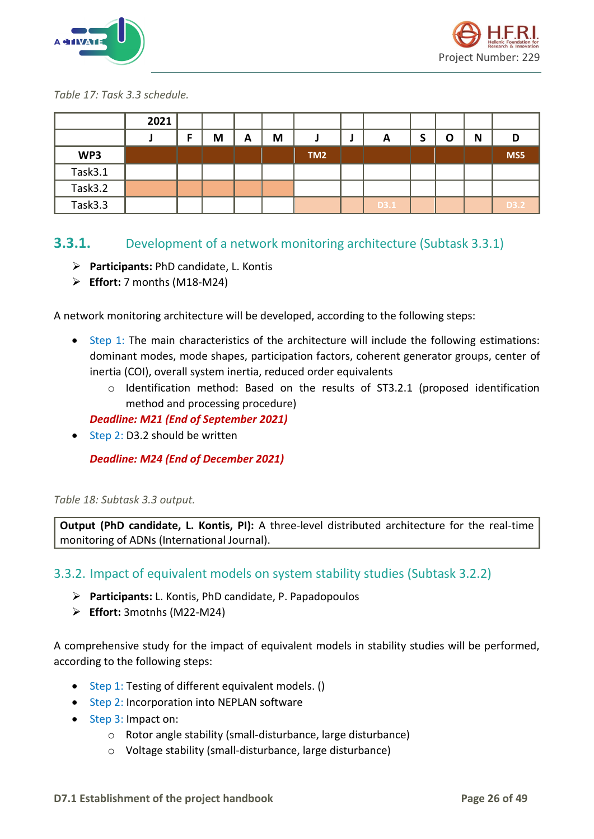



*Table 17: Task 3.3 schedule.*

|         | 2021 |   |   |   |                 |      |    |   |             |
|---------|------|---|---|---|-----------------|------|----|---|-------------|
|         |      | M | A | M |                 | A    | r. | N |             |
| WP3     |      |   |   |   | TM <sub>2</sub> |      |    |   | MS5         |
| Task3.1 |      |   |   |   |                 |      |    |   |             |
| Task3.2 |      |   |   |   |                 |      |    |   |             |
| Task3.3 |      |   |   |   |                 | D3.1 |    |   | <b>D3.2</b> |

### <span id="page-25-0"></span>**3.3.1.** Development of a network monitoring architecture (Subtask 3.3.1)

- ➢ **Participants:** PhD candidate, L. Kontis
- ➢ **Effort:** 7 months (M18-M24)

A network monitoring architecture will be developed, according to the following steps:

- Step 1: The main characteristics of the architecture will include the following estimations: dominant modes, mode shapes, participation factors, coherent generator groups, center of inertia (COI), overall system inertia, reduced order equivalents
	- $\circ$  Identification method: Based on the results of ST3.2.1 (proposed identification method and processing procedure)

*Deadline: M21 (End of September 2021)*

• Step 2: D3.2 should be written

#### *Deadline: M24 (End of December 2021)*

*Table 18: Subtask 3.3 output.*

**Output (PhD candidate, L. Kontis, PI):** A three-level distributed architecture for the real-time monitoring of ADNs (International Journal).

#### <span id="page-25-1"></span>3.3.2. Impact of equivalent models on system stability studies (Subtask 3.2.2)

- ➢ **Participants:** L. Kontis, PhD candidate, P. Papadopoulos
- ➢ **Effort:** 3motnhs (M22-M24)

A comprehensive study for the impact of equivalent models in stability studies will be performed, according to the following steps:

- Step 1: Testing of different equivalent models. ()
- Step 2: Incorporation into NEPLAN software
- Step 3: Impact on:
	- o Rotor angle stability (small-disturbance, large disturbance)
	- o Voltage stability (small-disturbance, large disturbance)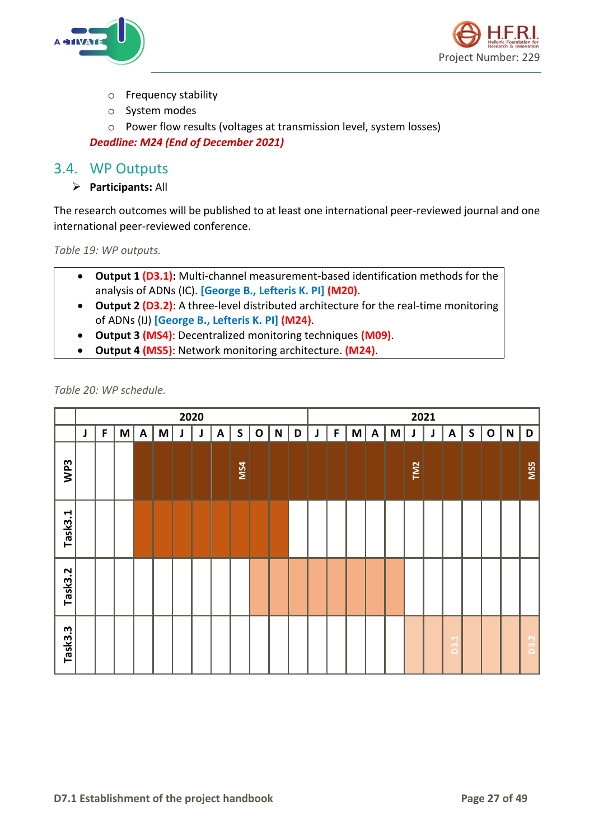



- o Frequency stability
- o System modes

o Power flow results (voltages at transmission level, system losses) *Deadline: M24 (End of December 2021)*

### <span id="page-26-0"></span>3.4. WP Outputs

➢ **Participants:** All

The research outcomes will be published to at least one international peer-reviewed journal and one international peer-reviewed conference.

*Table 19: WP outputs.*

- **Output 1 (D3.1):** Multi-channel measurement-based identification methods for the analysis of ADNs (IC). **[George B., Lefteris K. PI] (M20)**.
- **Output 2 (D3.2)**: A three-level distributed architecture for the real-time monitoring of ADNs (IJ) **[George B., Lefteris K. PI] (M24)**.
- **Output 3 (MS4)**: Decentralized monitoring techniques **(M09)**.
- **Output 4 (MS5)**: Network monitoring architecture. **(M24)**.

|         |   |   |   |   |   |   | 2020 |   |             |             |   |   |   |   |   |   |   |                 | 2021 |         |           |             |   |             |
|---------|---|---|---|---|---|---|------|---|-------------|-------------|---|---|---|---|---|---|---|-----------------|------|---------|-----------|-------------|---|-------------|
|         | J | F | M | A | M | J | J    | A | $\mathsf S$ | $\mathbf o$ | N | D | J | F | M | A | M | J               | J    | A       | ${\sf S}$ | $\mathbf o$ | N | $\mathbf D$ |
| WP3     |   |   |   |   |   |   |      |   | MS4         |             |   |   |   |   |   |   |   | TM <sub>2</sub> |      |         |           |             |   | <b>MS5</b>  |
| Task3.1 |   |   |   |   |   |   |      |   |             |             |   |   |   |   |   |   |   |                 |      |         |           |             |   |             |
| Task3.2 |   |   |   |   |   |   |      |   |             |             |   |   |   |   |   |   |   |                 |      |         |           |             |   |             |
| Task3.3 |   |   |   |   |   |   |      |   |             |             |   |   |   |   |   |   |   |                 |      | v.<br>ဦ |           |             |   | D3.2        |

*Table 20: WP schedule.*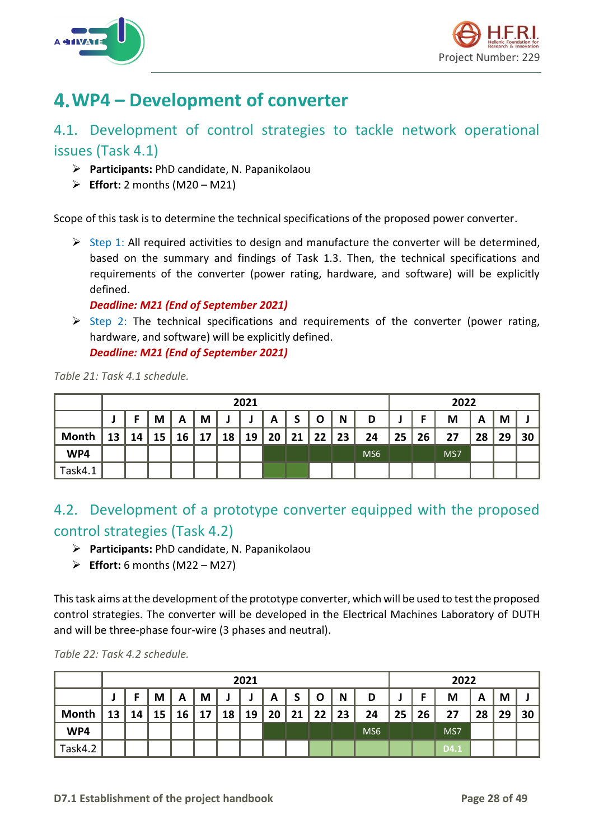



# <span id="page-27-0"></span>**WP4 – Development of converter**

## <span id="page-27-1"></span>4.1. Development of control strategies to tackle network operational issues (Task 4.1)

- ➢ **Participants:** PhD candidate, N. Papanikolaou
- ➢ **Effort:** 2 months (M20 M21)

Scope of this task is to determine the technical specifications of the proposed power converter.

 $\triangleright$  Step 1: All required activities to design and manufacture the converter will be determined, based on the summary and findings of Task 1.3. Then, the technical specifications and requirements of the converter (power rating, hardware, and software) will be explicitly defined.

#### *Deadline: M21 (End of September 2021)*

 $\triangleright$  Step 2: The technical specifications and requirements of the converter (power rating, hardware, and software) will be explicitly defined. *Deadline: M21 (End of September 2021)*

*Table 21: Task 4.1 schedule.*

|         |    |    |    |    |    |    | 2021 |    |    |    |    | 2022            |    |    |     |    |    |    |
|---------|----|----|----|----|----|----|------|----|----|----|----|-----------------|----|----|-----|----|----|----|
|         |    |    | M  | A  | M  |    |      | A  |    | 0  | N  | D               |    |    | M   | A  | M  |    |
| Month   | 13 | 14 | 15 | 16 | 17 | 18 | 19   | 20 | 21 | 22 | 23 | 24              | 25 | 26 | 27  | 28 | 29 | 30 |
| WP4     |    |    |    |    |    |    |      |    |    |    |    | MS <sub>6</sub> |    |    | MS7 |    |    |    |
| Task4.1 |    |    |    |    |    |    |      |    |    |    |    |                 |    |    |     |    |    |    |

## <span id="page-27-2"></span>4.2. Development of a prototype converter equipped with the proposed control strategies (Task 4.2)

- ➢ **Participants:** PhD candidate, N. Papanikolaou
- $\triangleright$  **Effort:** 6 months (M22 M27)

This task aims at the development of the prototype converter, which will be used to test the proposed control strategies. The converter will be developed in the Electrical Machines Laboratory of DUTH and will be three-phase four-wire (3 phases and neutral).

#### *Table 22: Task 4.2 schedule.*

|              |    |    |    |    |    |    | 2021 |    |    |             |    |                 |    |    | 2022 |    |    |    |
|--------------|----|----|----|----|----|----|------|----|----|-------------|----|-----------------|----|----|------|----|----|----|
|              |    | ►  | M  | A  | M  |    |      | A  |    | $\mathbf O$ | N  | D               |    |    | M    | А  | M  |    |
| <b>Month</b> | 13 | 14 | 15 | 16 | 17 | 18 | 19   | 20 | 21 | 22          | 23 | 24              | 25 | 26 | 27   | 28 | 29 | 30 |
| WP4          |    |    |    |    |    |    |      |    |    |             |    | MS <sub>6</sub> |    |    | MS7  |    |    |    |
| Task4.2      |    |    |    |    |    |    |      |    |    |             |    |                 |    |    | D4.1 |    |    |    |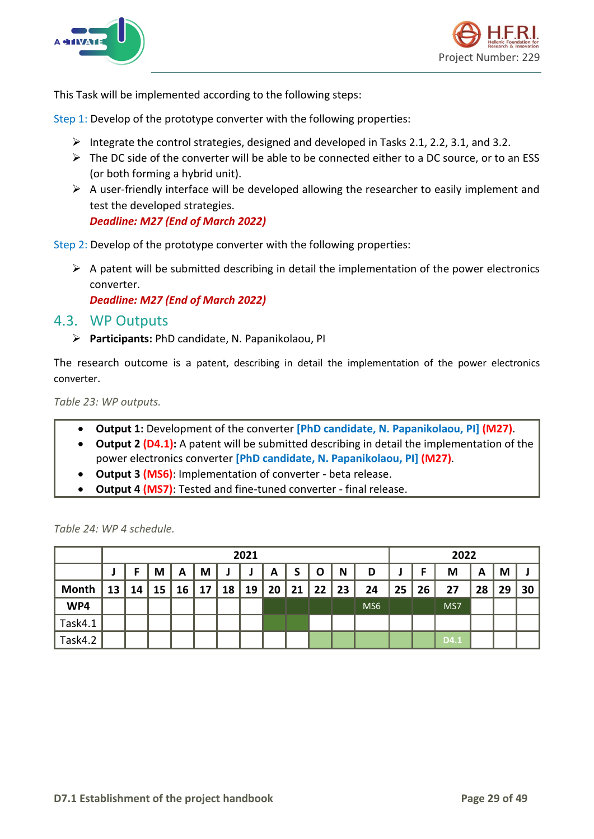



This Task will be implemented according to the following steps:

Step 1: Develop of the prototype converter with the following properties:

- $\triangleright$  Integrate the control strategies, designed and developed in Tasks 2.1, 2.2, 3.1, and 3.2.
- ➢ The DC side of the converter will be able to be connected either to a DC source, or to an ΕSS (or both forming a hybrid unit).
- $\triangleright$  A user-friendly interface will be developed allowing the researcher to easily implement and test the developed strategies.

*Deadline: M27 (End of March 2022)*

Step 2: Develop of the prototype converter with the following properties:

 $\triangleright$  A patent will be submitted describing in detail the implementation of the power electronics converter.

*Deadline: M27 (End of March 2022)*

#### <span id="page-28-0"></span>4.3. WP Outputs

➢ **Participants:** PhD candidate, N. Papanikolaou, PI

The research outcome is a patent, describing in detail the implementation of the power electronics converter.

*Table 23: WP outputs.*

- **Output 1:** Development of the converter **[PhD candidate, N. Papanikolaou, PI] (M27)**.
- **Output 2 (D4.1):** A patent will be submitted describing in detail the implementation of the power electronics converter **[PhD candidate, N. Papanikolaou, PI] (M27)**.
- **Output 3 (MS6)**: Implementation of converter beta release.
- **Output 4 (MS7)**: Tested and fine-tuned converter final release.

|              |    |    |    |    |    |    | 2021 |    |    |    |    |                 |    |    | 2022 |    |    |    |
|--------------|----|----|----|----|----|----|------|----|----|----|----|-----------------|----|----|------|----|----|----|
|              |    |    | M  | A  | M  |    |      | А  |    | O  | N  | D               |    |    | М    | A  | M  |    |
| <b>Month</b> | 13 | 14 | 15 | 16 | 17 | 18 | 19   | 20 | 21 | 22 | 23 | 24              | 25 | 26 | 27   | 28 | 29 | 30 |
| WP4          |    |    |    |    |    |    |      |    |    |    |    | MS <sub>6</sub> |    |    | MS7  |    |    |    |
| Task4.1      |    |    |    |    |    |    |      |    |    |    |    |                 |    |    |      |    |    |    |
| Task4.2      |    |    |    |    |    |    |      |    |    |    |    |                 |    |    | D4.1 |    |    |    |

*Table 24: WP 4 schedule.*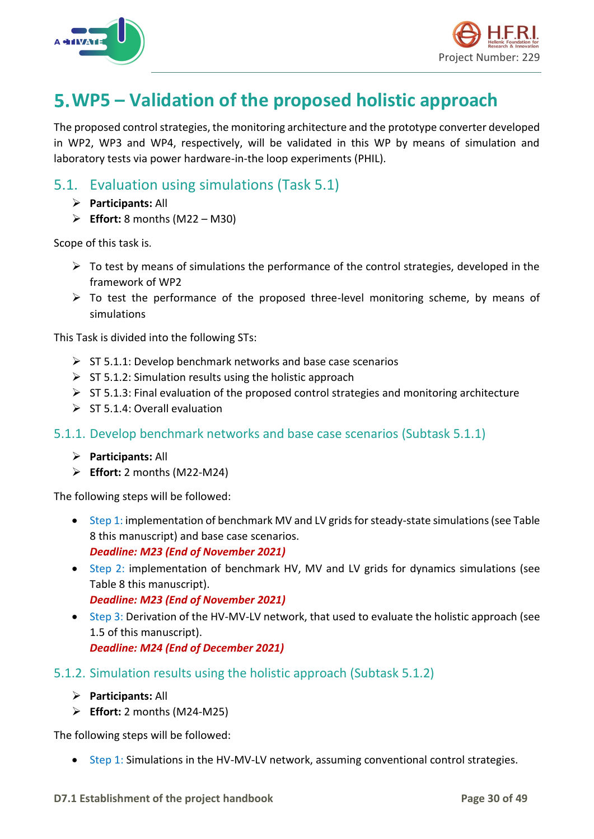



# <span id="page-29-0"></span>**WP5 – Validation of the proposed holistic approach**

The proposed control strategies, the monitoring architecture and the prototype converter developed in WP2, WP3 and WP4, respectively, will be validated in this WP by means of simulation and laboratory tests via power hardware-in-the loop experiments (PHIL).

### <span id="page-29-1"></span>5.1. Evaluation using simulations (Task 5.1)

- ➢ **Participants:** All
- ➢ **Effort:** 8 months (M22 M30)

Scope of this task is.

- $\triangleright$  To test by means of simulations the performance of the control strategies, developed in the framework of WP2
- $\triangleright$  To test the performance of the proposed three-level monitoring scheme, by means of simulations

This Task is divided into the following STs:

- $\triangleright$  ST 5.1.1: Develop benchmark networks and base case scenarios
- $\triangleright$  ST 5.1.2: Simulation results using the holistic approach
- ➢ ST 5.1.3: Final evaluation of the proposed control strategies and monitoring architecture
- $\triangleright$  ST 5.1.4: Overall evaluation

#### <span id="page-29-2"></span>5.1.1. Develop benchmark networks and base case scenarios (Subtask 5.1.1)

- ➢ **Participants:** All
- ➢ **Effort:** 2 months (M22-M24)

The following steps will be followed:

- Step 1: implementation of benchmark MV and LV grids for steady-state simulations (see Table 8 this manuscript) and base case scenarios. *Deadline: M23 (End of November 2021)*
- Step 2: implementation of benchmark HV, MV and LV grids for dynamics simulations (see Table 8 this manuscript).

*Deadline: M23 (End of November 2021)*

- Step 3: Derivation of the HV-MV-LV network, that used to evaluate the holistic approach (see 1.5 of this manuscript). *Deadline: M24 (End of December 2021)*
- <span id="page-29-3"></span>5.1.2. Simulation results using the holistic approach (Subtask 5.1.2)
	- ➢ **Participants:** All
	- ➢ **Effort:** 2 months (M24-M25)

The following steps will be followed:

• Step 1: Simulations in the HV-MV-LV network, assuming conventional control strategies.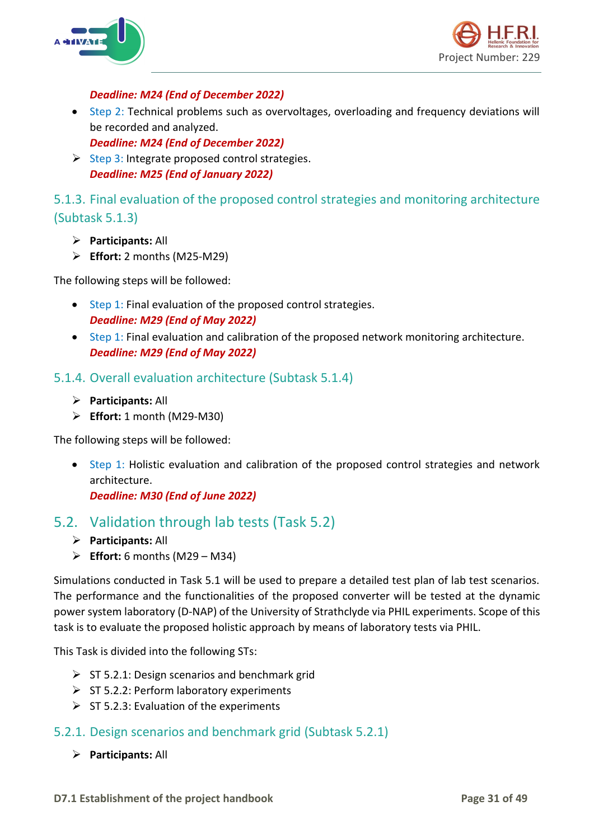



#### *Deadline: M24 (End of December 2022)*

• Step 2: Technical problems such as overvoltages, overloading and frequency deviations will be recorded and analyzed.

*Deadline: M24 (End of December 2022)*

 $\triangleright$  Step 3: Integrate proposed control strategies. *Deadline: M25 (End of January 2022)*

### <span id="page-30-0"></span>5.1.3. Final evaluation of the proposed control strategies and monitoring architecture (Subtask 5.1.3)

- ➢ **Participants:** All
- ➢ **Effort:** 2 months (M25-M29)

The following steps will be followed:

- Step 1: Final evaluation of the proposed control strategies. *Deadline: M29 (End of May 2022)*
- Step 1: Final evaluation and calibration of the proposed network monitoring architecture. *Deadline: M29 (End of May 2022)*

#### <span id="page-30-1"></span>5.1.4. Overall evaluation architecture (Subtask 5.1.4)

- ➢ **Participants:** All
- ➢ **Effort:** 1 month (M29-M30)

The following steps will be followed:

• Step 1: Holistic evaluation and calibration of the proposed control strategies and network architecture.

*Deadline: M30 (End of June 2022)*

#### <span id="page-30-2"></span>5.2. Validation through lab tests (Task 5.2)

- ➢ **Participants:** All
- ➢ **Effort:** 6 months (M29 M34)

Simulations conducted in Task 5.1 will be used to prepare a detailed test plan of lab test scenarios. The performance and the functionalities of the proposed converter will be tested at the dynamic power system laboratory (D-NAP) of the University of Strathclyde via PHIL experiments. Scope of this task is to evaluate the proposed holistic approach by means of laboratory tests via PHIL.

This Task is divided into the following STs:

- $\triangleright$  ST 5.2.1: Design scenarios and benchmark grid
- $\triangleright$  ST 5.2.2: Perform laboratory experiments
- $\triangleright$  ST 5.2.3: Evaluation of the experiments

#### <span id="page-30-3"></span>5.2.1. Design scenarios and benchmark grid (Subtask 5.2.1)

➢ **Participants:** All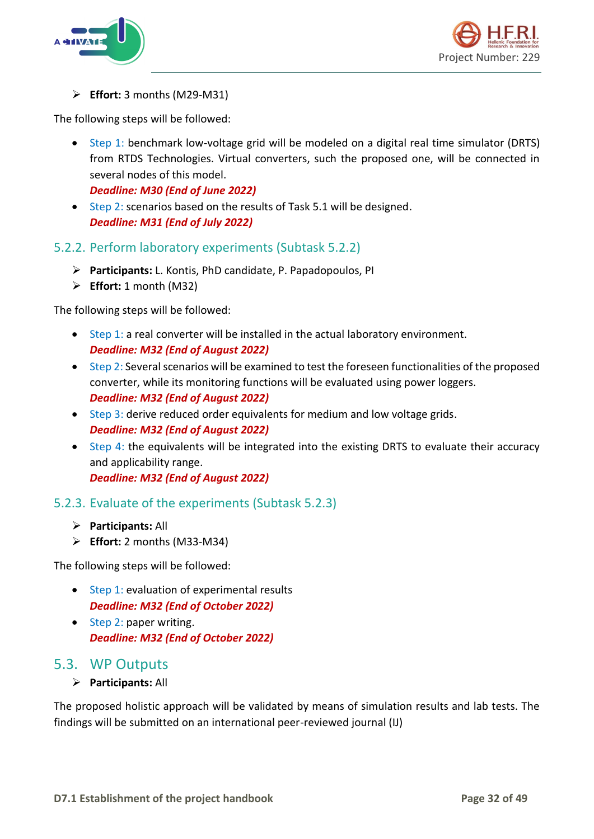



➢ **Effort:** 3 months (M29-M31)

The following steps will be followed:

• Step 1: benchmark low-voltage grid will be modeled on a digital real time simulator (DRTS) from RTDS Technologies. Virtual converters, such the proposed one, will be connected in several nodes of this model.

*Deadline: M30 (End of June 2022)*

• Step 2: scenarios based on the results of Task 5.1 will be designed. *Deadline: M31 (End of July 2022)*

#### <span id="page-31-0"></span>5.2.2. Perform laboratory experiments (Subtask 5.2.2)

- ➢ **Participants:** L. Kontis, PhD candidate, P. Papadopoulos, PI
- ➢ **Effort:** 1 month (M32)

The following steps will be followed:

- Step 1: a real converter will be installed in the actual laboratory environment. *Deadline: M32 (End of August 2022)*
- Step 2: Several scenarios will be examined to test the foreseen functionalities of the proposed converter, while its monitoring functions will be evaluated using power loggers. *Deadline: M32 (End of August 2022)*
- Step 3: derive reduced order equivalents for medium and low voltage grids. *Deadline: M32 (End of August 2022)*
- Step 4: the equivalents will be integrated into the existing DRTS to evaluate their accuracy and applicability range. *Deadline: M32 (End of August 2022)*

#### <span id="page-31-1"></span>5.2.3. Evaluate of the experiments (Subtask 5.2.3)

- ➢ **Participants:** All
- ➢ **Effort:** 2 months (M33-M34)

The following steps will be followed:

- Step 1: evaluation of experimental results *Deadline: M32 (End of October 2022)*
- Step 2: paper writing. *Deadline: M32 (End of October 2022)*

#### <span id="page-31-2"></span>5.3. WP Outputs

➢ **Participants:** All

The proposed holistic approach will be validated by means of simulation results and lab tests. The findings will be submitted on an international peer-reviewed journal (IJ)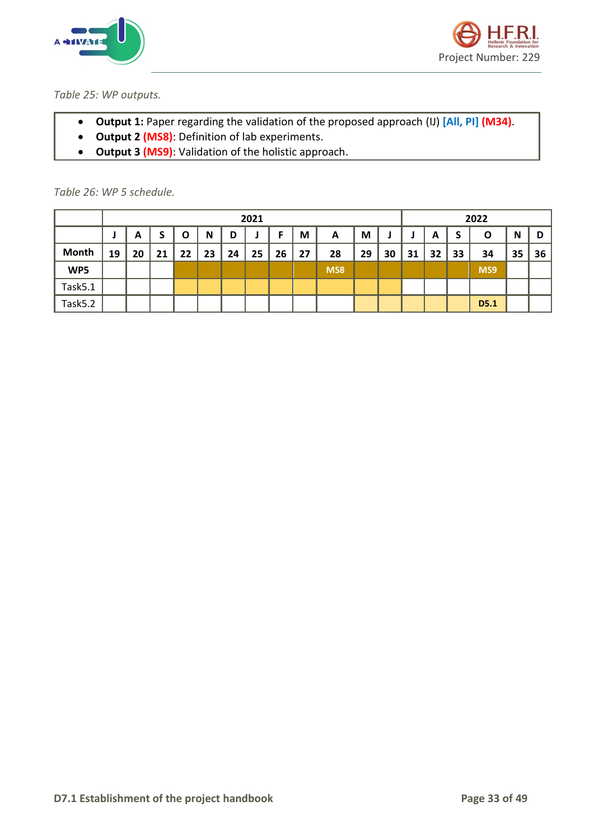



*Table 25: WP outputs.*

- **Output 1:** Paper regarding the validation of the proposed approach (IJ) **[All, PI] (M34)**.
- **Output 2 (MS8)**: Definition of lab experiments.
- **Output 3 (MS9)**: Validation of the holistic approach.

|              |    |    |    |    |    |    | 2021 |    |    |     |    |    |    |    |    | 2022 |    |    |
|--------------|----|----|----|----|----|----|------|----|----|-----|----|----|----|----|----|------|----|----|
|              |    | A  |    | O  | N  | D  |      |    | M  | A   | M  |    |    | A  |    | O    | N  | D  |
| <b>Month</b> | 19 | 20 | 21 | 22 | 23 | 24 | 25   | 26 | 27 | 28  | 29 | 30 | 31 | 32 | 33 | 34   | 35 | 36 |
| WP5          |    |    |    |    |    |    |      |    |    | MS8 |    |    |    |    |    | MS9  |    |    |
| Task5.1      |    |    |    |    |    |    |      |    |    |     |    |    |    |    |    |      |    |    |
| Task5.2      |    |    |    |    |    |    |      |    |    |     |    |    |    |    |    | D5.1 |    |    |

*Table 26: WP 5 schedule.*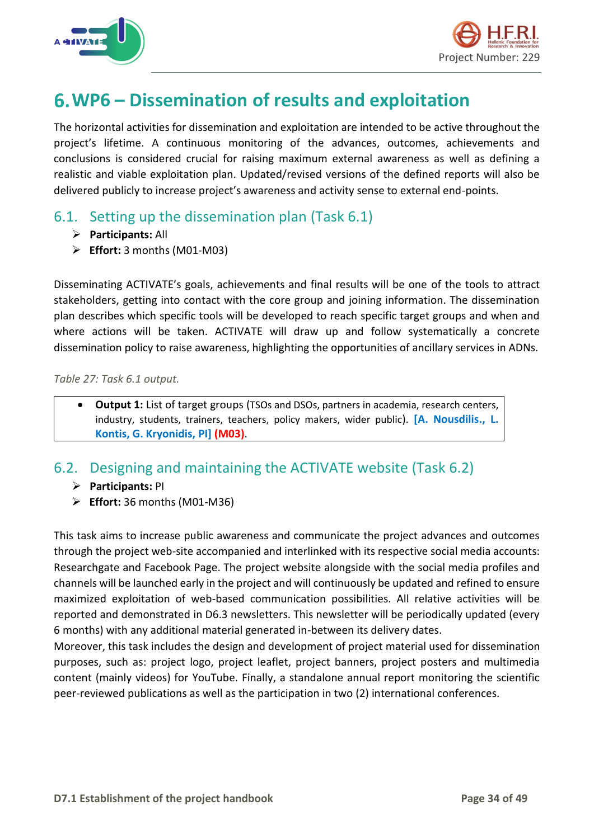



# <span id="page-33-0"></span>**WP6 – Dissemination of results and exploitation**

The horizontal activities for dissemination and exploitation are intended to be active throughout the project's lifetime. A continuous monitoring of the advances, outcomes, achievements and conclusions is considered crucial for raising maximum external awareness as well as defining a realistic and viable exploitation plan. Updated/revised versions of the defined reports will also be delivered publicly to increase project's awareness and activity sense to external end-points.

## <span id="page-33-1"></span>6.1. Setting up the dissemination plan (Task 6.1)

- ➢ **Participants:** All
- ➢ **Effort:** 3 months (M01-M03)

Disseminating ACTIVATE's goals, achievements and final results will be one of the tools to attract stakeholders, getting into contact with the core group and joining information. The dissemination plan describes which specific tools will be developed to reach specific target groups and when and where actions will be taken. ACTIVATE will draw up and follow systematically a concrete dissemination policy to raise awareness, highlighting the opportunities of ancillary services in ADNs.

*Table 27: Task 6.1 output.*

• **Output 1:** List of target groups (TSOs and DSOs, partners in academia, research centers, industry, students, trainers, teachers, policy makers, wider public). **[A. Nousdilis., L. Kontis, G. Kryonidis, PI] (M03)**.

### <span id="page-33-2"></span>6.2. Designing and maintaining the ACTIVATE website (Task 6.2)

- ➢ **Participants:** PI
- ➢ **Effort:** 36 months (M01-M36)

This task aims to increase public awareness and communicate the project advances and outcomes through the project web-site accompanied and interlinked with its respective social media accounts: Researchgate and Facebook Page. The project website alongside with the social media profiles and channels will be launched early in the project and will continuously be updated and refined to ensure maximized exploitation of web-based communication possibilities. All relative activities will be reported and demonstrated in D6.3 newsletters. This newsletter will be periodically updated (every 6 months) with any additional material generated in-between its delivery dates.

Moreover, this task includes the design and development of project material used for dissemination purposes, such as: project logo, project leaflet, project banners, project posters and multimedia content (mainly videos) for YouTube. Finally, a standalone annual report monitoring the scientific peer-reviewed publications as well as the participation in two (2) international conferences.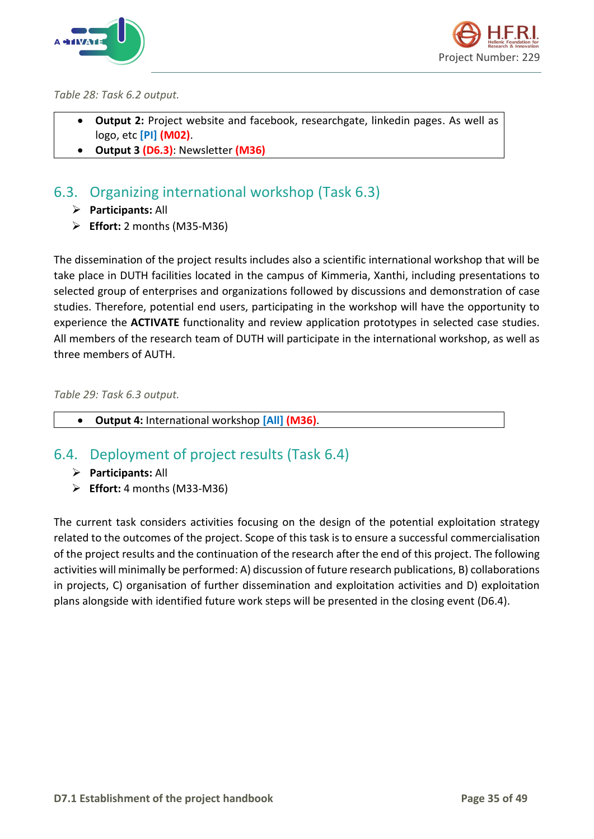



#### *Table 28: Task 6.2 output.*

- **Output 2:** Project website and facebook, researchgate, linkedin pages. As well as logo, etc **[PI] (M02)**.
- **Output 3 (D6.3)**: Newsletter **(M36)**

## <span id="page-34-0"></span>6.3. Organizing international workshop (Task 6.3)

- ➢ **Participants:** All
- ➢ **Effort:** 2 months (M35-M36)

The dissemination of the project results includes also a scientific international workshop that will be take place in DUTH facilities located in the campus of Kimmeria, Xanthi, including presentations to selected group of enterprises and organizations followed by discussions and demonstration of case studies. Therefore, potential end users, participating in the workshop will have the opportunity to experience the **ACTIVATE** functionality and review application prototypes in selected case studies. All members of the research team of DUTH will participate in the international workshop, as well as three members of AUTH.

*Table 29: Task 6.3 output.*

- **Output 4:** International workshop **[All] (M36)**.
- <span id="page-34-1"></span>6.4. Deployment of project results (Task 6.4)
	- ➢ **Participants:** All
	- ➢ **Effort:** 4 months (M33-M36)

The current task considers activities focusing on the design of the potential exploitation strategy related to the outcomes of the project. Scope of this task is to ensure a successful commercialisation of the project results and the continuation of the research after the end of this project. The following activities will minimally be performed: A) discussion of future research publications, B) collaborations in projects, C) organisation of further dissemination and exploitation activities and D) exploitation plans alongside with identified future work steps will be presented in the closing event (D6.4).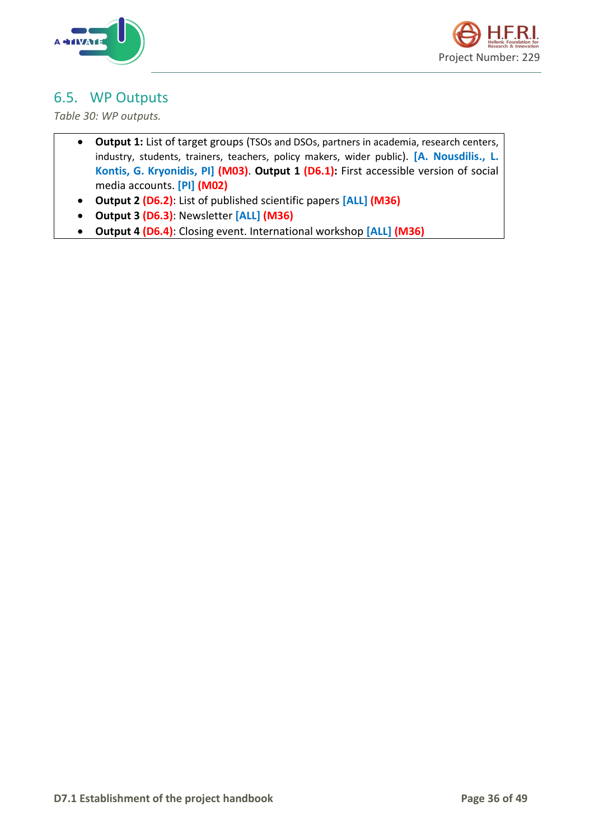



## <span id="page-35-0"></span>6.5. WP Outputs

*Table 30: WP outputs.*

- **Output 1:** List of target groups (TSOs and DSOs, partners in academia, research centers, industry, students, trainers, teachers, policy makers, wider public). **[A. Nousdilis., L. Kontis, G. Kryonidis, PI] (M03)**. **Output 1 (D6.1):** First accessible version of social media accounts. **[PI] (M02)**
- **Output 2 (D6.2)**: List of published scientific papers **[ALL] (M36)**
- **Output 3 (D6.3)**: Newsletter **[ALL] (M36)**
- **Output 4 (D6.4)**: Closing event. International workshop **[ALL] (M36)**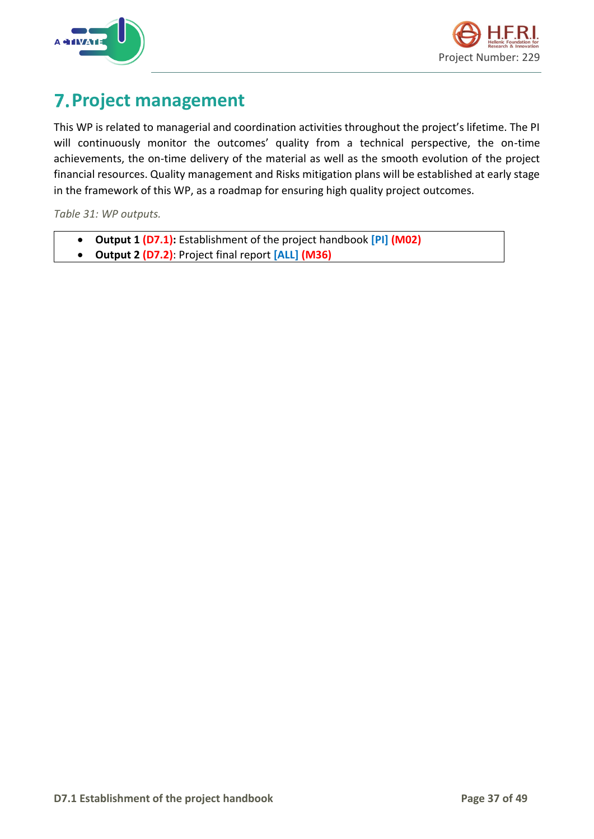



# <span id="page-36-0"></span>**Project management**

This WP is related to managerial and coordination activities throughout the project's lifetime. The PI will continuously monitor the outcomes' quality from a technical perspective, the on-time achievements, the on-time delivery of the material as well as the smooth evolution of the project financial resources. Quality management and Risks mitigation plans will be established at early stage in the framework of this WP, as a roadmap for ensuring high quality project outcomes.

*Table 31: WP outputs.*

- **Output 1 (D7.1):** Establishment of the project handbook **[PI] (M02)**
- **Output 2 (D7.2)**: Project final report **[ALL] (M36)**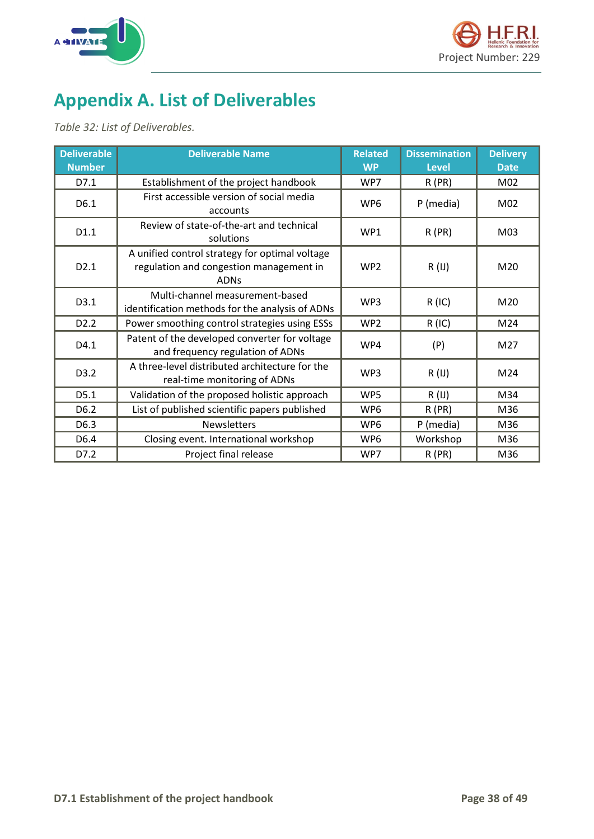



# <span id="page-37-0"></span>**Appendix A. List of Deliverables**

*Table 32: List of Deliverables.*

| <b>Deliverable</b> | <b>Deliverable Name</b>                                                                                  | <b>Related</b>  | <b>Dissemination</b> | <b>Delivery</b> |
|--------------------|----------------------------------------------------------------------------------------------------------|-----------------|----------------------|-----------------|
| <b>Number</b>      |                                                                                                          | <b>WP</b>       | <b>Level</b>         | <b>Date</b>     |
| D7.1               | Establishment of the project handbook                                                                    | WP7             | R(PR)                | M02             |
| D6.1               | First accessible version of social media<br>accounts                                                     | WP6             | P (media)            | M02             |
| D1.1               | Review of state-of-the-art and technical<br>solutions                                                    | WP1             | R(PR)                | M03             |
| D2.1               | A unified control strategy for optimal voltage<br>regulation and congestion management in<br><b>ADNs</b> | WP <sub>2</sub> | R(II)                | M20             |
| D3.1               | Multi-channel measurement-based<br>identification methods for the analysis of ADNs                       | WP3             | R(IC)                | M20             |
| D <sub>2.2</sub>   | Power smoothing control strategies using ESSs                                                            | WP <sub>2</sub> | R(IC)                | M24             |
| D4.1               | Patent of the developed converter for voltage<br>and frequency regulation of ADNs                        | WP4             | (P)                  | M27             |
| D3.2               | A three-level distributed architecture for the<br>real-time monitoring of ADNs                           | WP3             | R(II)                | M24             |
| D5.1               | Validation of the proposed holistic approach                                                             | WP5             | R(II)                | M34             |
| D6.2               | List of published scientific papers published                                                            | WP <sub>6</sub> | R(PR)                | M36             |
| D6.3               | <b>Newsletters</b>                                                                                       | WP6             | P (media)            | M36             |
| D6.4               | Closing event. International workshop                                                                    | WP6             | Workshop             | M36             |
| D7.2               | Project final release                                                                                    | WP7             | R(PR)                | M36             |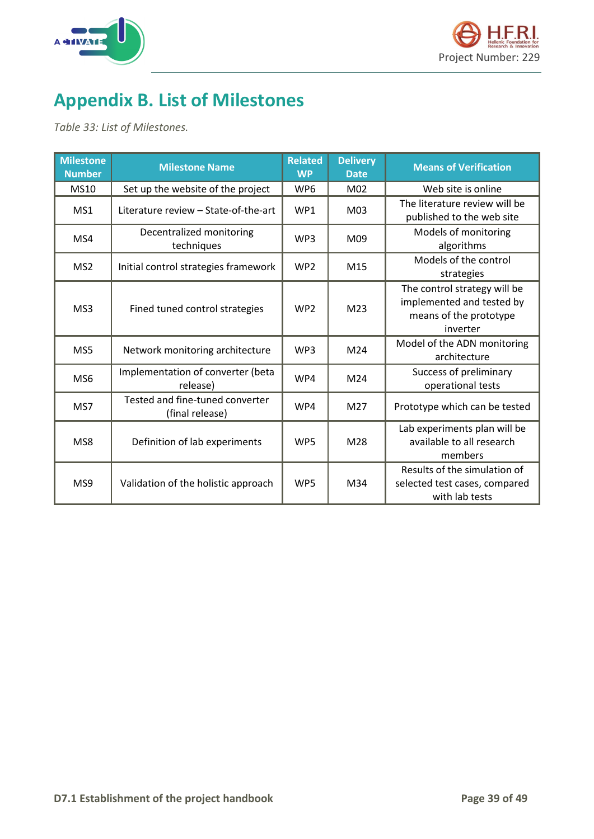



# <span id="page-38-0"></span>**Appendix B. List of Milestones**

*Table 33: List of Milestones.*

| <b>Milestone</b><br><b>Number</b> | <b>Milestone Name</b>                              | <b>Related</b><br><b>WP</b> | <b>Delivery</b><br><b>Date</b> | <b>Means of Verification</b>                                                                    |  |
|-----------------------------------|----------------------------------------------------|-----------------------------|--------------------------------|-------------------------------------------------------------------------------------------------|--|
| <b>MS10</b>                       | Set up the website of the project                  | WP <sub>6</sub>             | M02                            | Web site is online                                                                              |  |
| MS1                               | Literature review - State-of-the-art               | WP1                         | M <sub>03</sub>                | The literature review will be<br>published to the web site                                      |  |
| MS4                               | Decentralized monitoring<br>techniques             | WP3                         | M09                            | Models of monitoring<br>algorithms                                                              |  |
| MS <sub>2</sub>                   | Initial control strategies framework               | WP <sub>2</sub>             | M15                            | Models of the control<br>strategies                                                             |  |
| MS3                               | Fined tuned control strategies                     | WP <sub>2</sub>             | M <sub>23</sub>                | The control strategy will be<br>implemented and tested by<br>means of the prototype<br>inverter |  |
| MS5                               | Network monitoring architecture                    | WP3                         | M <sub>24</sub>                | Model of the ADN monitoring<br>architecture                                                     |  |
| MS <sub>6</sub>                   | Implementation of converter (beta<br>release)      | WP4                         | M24                            | Success of preliminary<br>operational tests                                                     |  |
| MS7                               | Tested and fine-tuned converter<br>(final release) | WP4                         | M27                            | Prototype which can be tested                                                                   |  |
| MS8                               | Definition of lab experiments                      | WP5                         | M28                            | Lab experiments plan will be<br>available to all research<br>members                            |  |
| MS9                               | Validation of the holistic approach                | WP5                         | M34                            | Results of the simulation of<br>selected test cases, compared<br>with lab tests                 |  |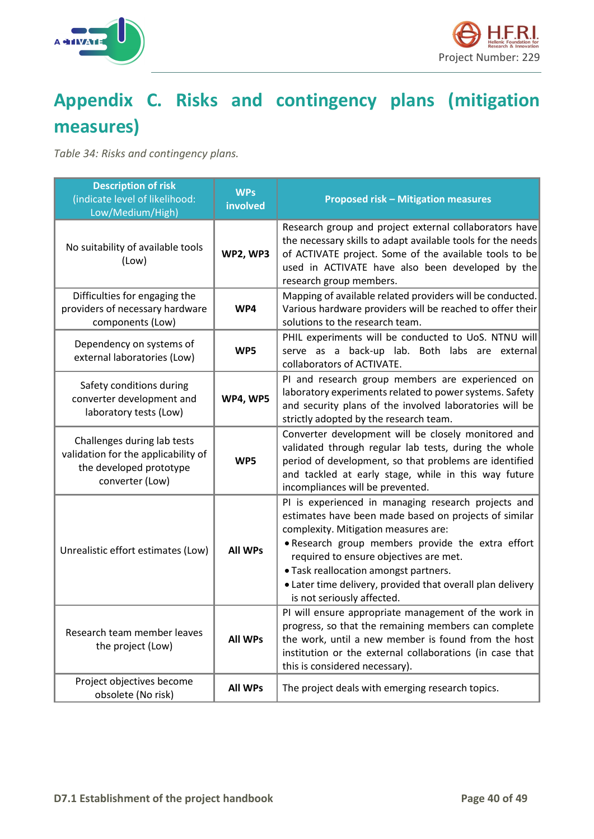



# <span id="page-39-0"></span>**Appendix C. Risks and contingency plans (mitigation measures)**

*Table 34: Risks and contingency plans.*

| <b>Description of risk</b><br>(indicate level of likelihood:<br>Low/Medium/High)                                 | <b>WPs</b><br>involved | <b>Proposed risk - Mitigation measures</b>                                                                                                                                                                                                                                                                                                                                               |
|------------------------------------------------------------------------------------------------------------------|------------------------|------------------------------------------------------------------------------------------------------------------------------------------------------------------------------------------------------------------------------------------------------------------------------------------------------------------------------------------------------------------------------------------|
| No suitability of available tools<br>WP2, WP3<br>(Low)                                                           |                        | Research group and project external collaborators have<br>the necessary skills to adapt available tools for the needs<br>of ACTIVATE project. Some of the available tools to be<br>used in ACTIVATE have also been developed by the<br>research group members.                                                                                                                           |
| Difficulties for engaging the<br>providers of necessary hardware<br>components (Low)                             | WP4                    | Mapping of available related providers will be conducted.<br>Various hardware providers will be reached to offer their<br>solutions to the research team.                                                                                                                                                                                                                                |
| Dependency on systems of<br>external laboratories (Low)                                                          | WP5                    | PHIL experiments will be conducted to UoS. NTNU will<br>serve as a back-up lab. Both labs are external<br>collaborators of ACTIVATE.                                                                                                                                                                                                                                                     |
| Safety conditions during<br>converter development and<br>laboratory tests (Low)                                  | WP4, WP5               | PI and research group members are experienced on<br>laboratory experiments related to power systems. Safety<br>and security plans of the involved laboratories will be<br>strictly adopted by the research team.                                                                                                                                                                         |
| Challenges during lab tests<br>validation for the applicability of<br>the developed prototype<br>converter (Low) | WP5                    | Converter development will be closely monitored and<br>validated through regular lab tests, during the whole<br>period of development, so that problems are identified<br>and tackled at early stage, while in this way future<br>incompliances will be prevented.                                                                                                                       |
| <b>All WPs</b><br>Unrealistic effort estimates (Low)                                                             |                        | PI is experienced in managing research projects and<br>estimates have been made based on projects of similar<br>complexity. Mitigation measures are:<br>. Research group members provide the extra effort<br>required to ensure objectives are met.<br>• Task reallocation amongst partners.<br>• Later time delivery, provided that overall plan delivery<br>is not seriously affected. |
| Research team member leaves<br>the project (Low)                                                                 | <b>All WPs</b>         | PI will ensure appropriate management of the work in<br>progress, so that the remaining members can complete<br>the work, until a new member is found from the host<br>institution or the external collaborations (in case that<br>this is considered necessary).                                                                                                                        |
| Project objectives become<br>obsolete (No risk)                                                                  | All WPs                | The project deals with emerging research topics.                                                                                                                                                                                                                                                                                                                                         |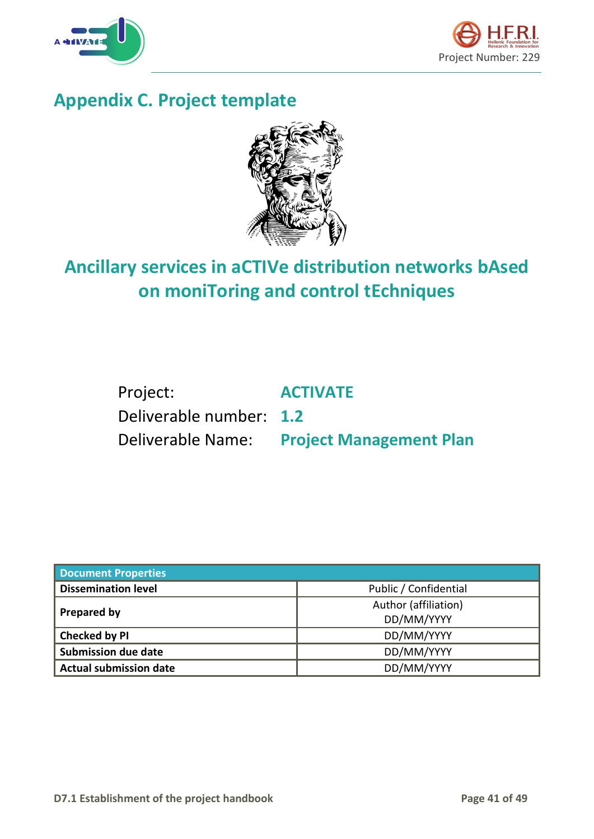



# <span id="page-40-0"></span>**Appendix C. Project template**



# **Ancillary services in aCTIVe distribution networks bAsed on moniToring and control tEchniques**

Project: **ACTIVATE** Deliverable number: **1.2** Deliverable Name: **Project Management Plan**

| <b>Document Properties</b>    |                       |  |  |
|-------------------------------|-----------------------|--|--|
| <b>Dissemination level</b>    | Public / Confidential |  |  |
|                               | Author (affiliation)  |  |  |
| <b>Prepared by</b>            | DD/MM/YYYY            |  |  |
| <b>Checked by PI</b>          | DD/MM/YYYY            |  |  |
| <b>Submission due date</b>    | DD/MM/YYYY            |  |  |
| <b>Actual submission date</b> | DD/MM/YYYY            |  |  |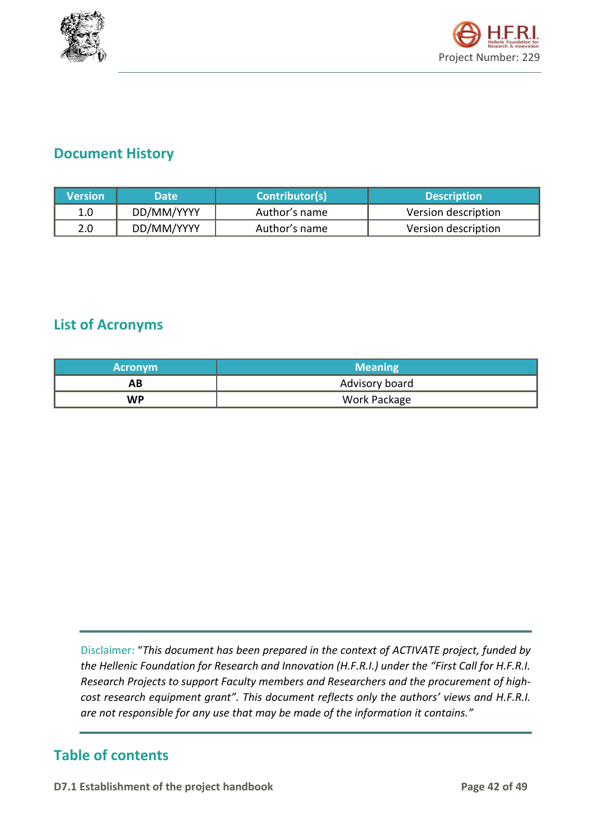



### **Document History**

| <b>Version</b> | <b>Date</b> | Contributor(s) | <b>Description</b>  |
|----------------|-------------|----------------|---------------------|
| 1.0            | DD/MM/YYYY  | Author's name  | Version description |
| 2.0            | DD/MM/YYYY  | Author's name  | Version description |

### **List of Acronyms**

| <b>Acronym</b> | Meaning        |  |  |
|----------------|----------------|--|--|
| AΒ             | Advisory board |  |  |
| <b>WP</b>      | Work Package   |  |  |

Disclaimer: "*This document has been prepared in the context of ACTIVATE project, funded by the Hellenic Foundation for Research and Innovation (H.F.R.I.) under the "First Call for H.F.R.I. Research Projects to support Faculty members and Researchers and the procurement of high*cost research equipment grant". This document reflects only the authors' views and *H.F.R.I. are not responsible for any use that may be made of the information it contains."*

## **Table of contents**

**D7.1 Establishment of the project handbook Page 42 of 49**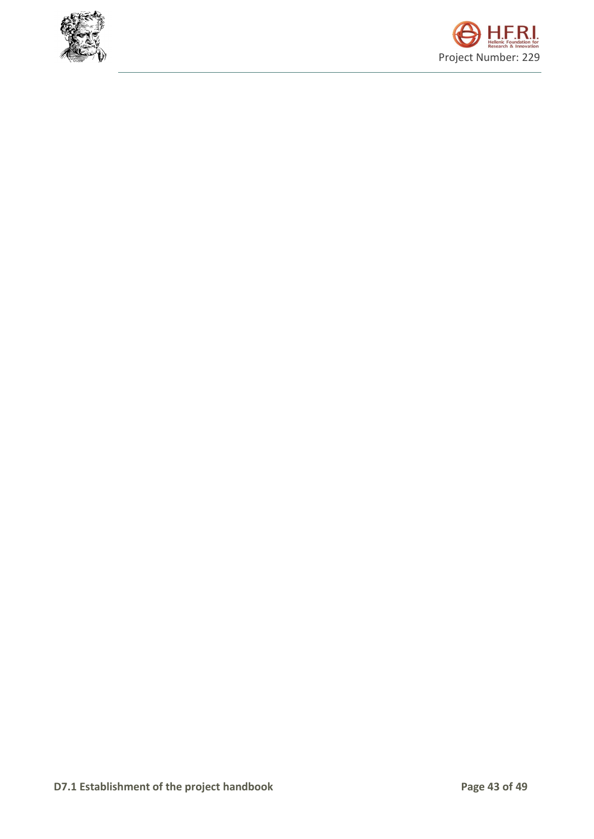

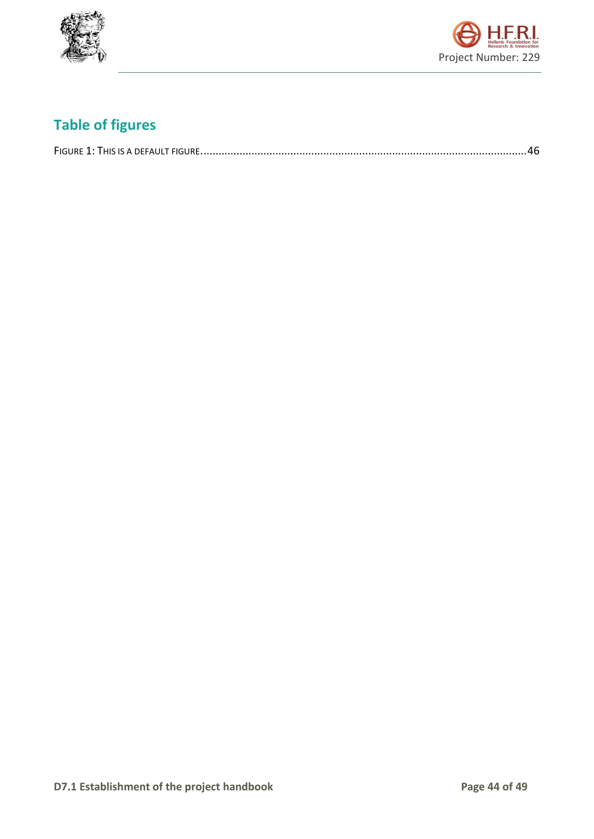



# **Table of figures**

|--|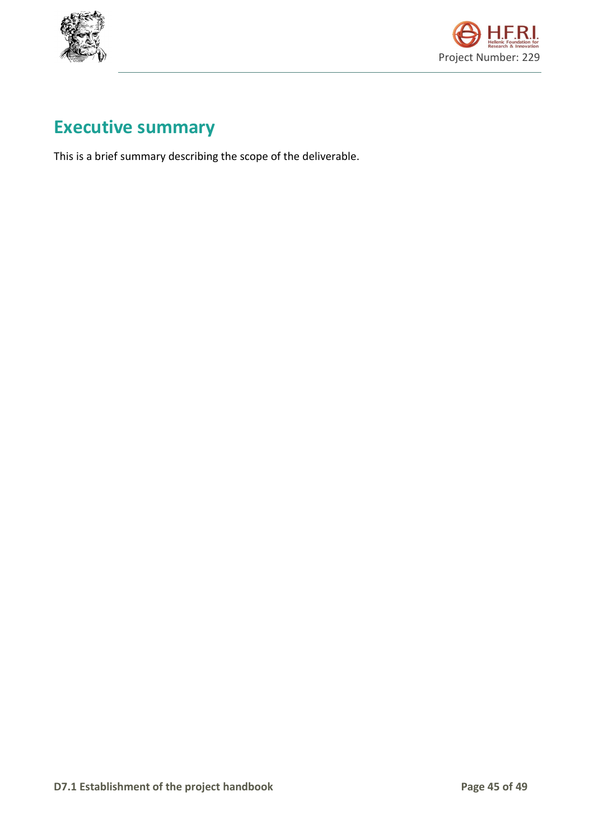



# **Executive summary**

This is a brief summary describing the scope of the deliverable.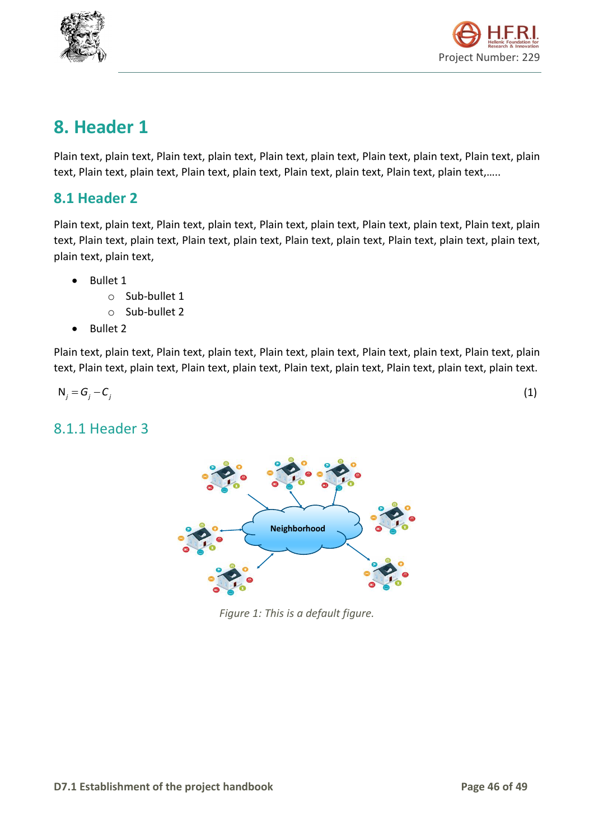![](_page_45_Picture_0.jpeg)

![](_page_45_Picture_1.jpeg)

# **8. Header 1**

Plain text, plain text, Plain text, plain text, Plain text, plain text, Plain text, plain text, Plain text, plain text, Plain text, plain text, Plain text, plain text, Plain text, plain text, Plain text, plain text,…..

## **8.1 Header 2**

Plain text, plain text, Plain text, plain text, Plain text, plain text, Plain text, plain text, Plain text, plain text, Plain text, plain text, Plain text, plain text, Plain text, plain text, Plain text, plain text, plain text, plain text, plain text,

- Bullet 1
	- o Sub-bullet 1
	- o Sub-bullet 2
- Bullet 2

Plain text, plain text, Plain text, plain text, Plain text, plain text, Plain text, plain text, Plain text, plain text, Plain text, plain text, Plain text, plain text, Plain text, plain text, Plain text, plain text, plain text.

$$
N_j = G_j - C_j \tag{1}
$$

## <span id="page-45-0"></span>8.1.1 Header 3

![](_page_45_Picture_13.jpeg)

*Figure 1: This is a default figure.*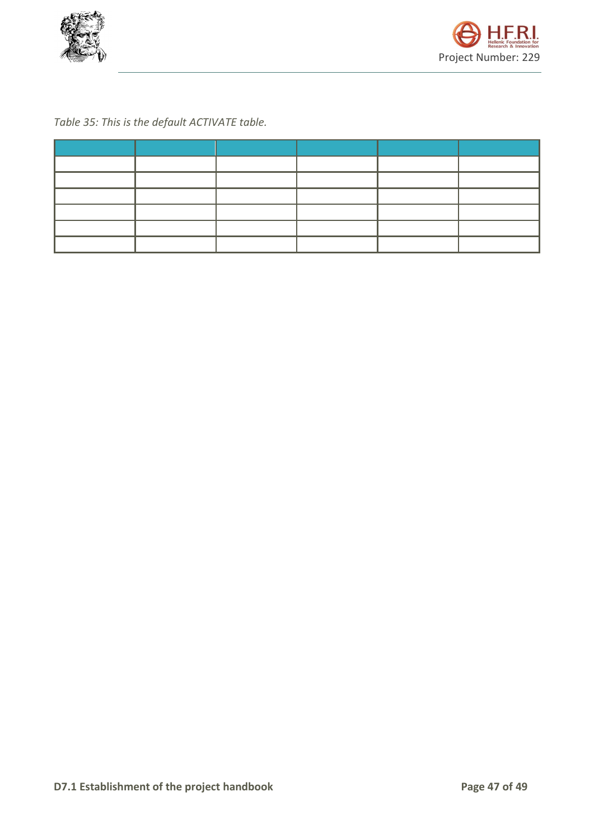![](_page_46_Picture_0.jpeg)

![](_page_46_Picture_1.jpeg)

*Table 35: This is the default ACTIVATE table.*

| ,我们也不能会在这里,我们的时候,我们也不能会在这里,我们也不能会在这里,我们也不能会在这里,我们也不能会在这里,我们也不能会在这里,我们也不能会不能会不能会不 |                                                                                                                         |                                                                                                                        |                                                                                 |  |
|----------------------------------------------------------------------------------|-------------------------------------------------------------------------------------------------------------------------|------------------------------------------------------------------------------------------------------------------------|---------------------------------------------------------------------------------|--|
| the contract of the contract of the contract of the                              | <u> The Communication of the Communication of the Communication of the Communication of the Communication of the Co</u> | <u> 1989 - Johann Stoff, deutscher Stoffen und der Stoffen und der Stoffen und der Stoffen und der Stoffen und der</u> | the contract of the contract of the contract of the contract of the contract of |  |
|                                                                                  |                                                                                                                         |                                                                                                                        |                                                                                 |  |
|                                                                                  |                                                                                                                         |                                                                                                                        |                                                                                 |  |
|                                                                                  |                                                                                                                         |                                                                                                                        |                                                                                 |  |
|                                                                                  |                                                                                                                         |                                                                                                                        |                                                                                 |  |
| the control of the control of the control of the control of the control of       |                                                                                                                         | the control of the control of the control of the control of the control of the control of the control of the c         |                                                                                 |  |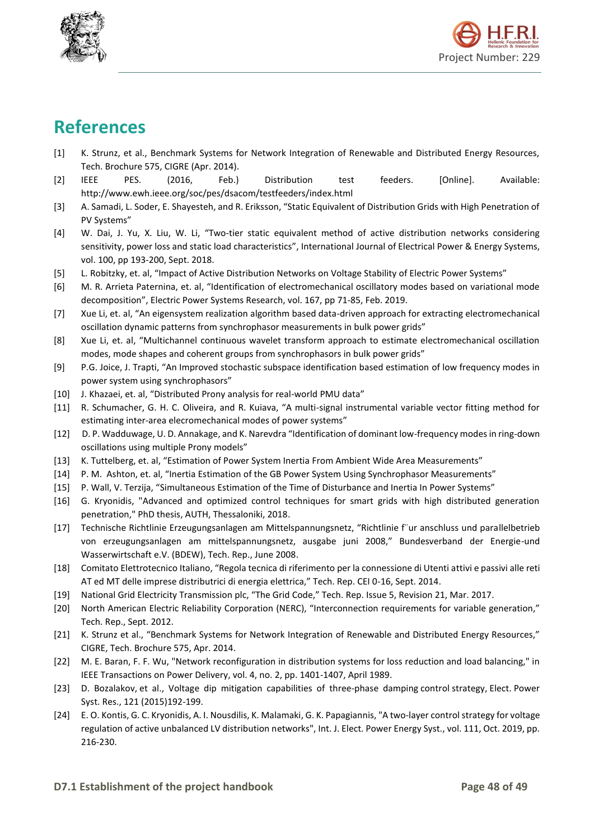![](_page_47_Picture_0.jpeg)

![](_page_47_Picture_1.jpeg)

## <span id="page-47-0"></span>**References**

- <span id="page-47-1"></span>[1] K. Strunz, et al., Benchmark Systems for Network Integration of Renewable and Distributed Energy Resources, Tech. Brochure 575, CIGRE (Apr. 2014).
- <span id="page-47-2"></span>[2] IEEE PES. (2016, Feb.) Distribution test feeders. [Online]. Available: http://www.ewh.ieee.org/soc/pes/dsacom/testfeeders/index.html
- [3] A. Samadi, L. Soder, E. Shayesteh, and R. Eriksson, "Static Equivalent of Distribution Grids with High Penetration of PV Systems"
- [4] W. Dai, J. Yu, X. Liu, W. Li, "Two-tier static equivalent method of active distribution networks considering sensitivity, power loss and static load characteristics", International Journal of Electrical Power & Energy Systems, vol. 100, pp 193-200, Sept. 2018.
- [5] L. Robitzky, et. al, "Impact of Active Distribution Networks on Voltage Stability of Electric Power Systems"
- [6] M. R. Arrieta Paternina, et. al, "Identification of electromechanical oscillatory modes based on variational mode decomposition", Electric Power Systems Research, vol. 167, pp 71-85, Feb. 2019.
- [7] Xue Li, et. al, "An eigensystem realization algorithm based data-driven approach for extracting electromechanical oscillation dynamic patterns from synchrophasor measurements in bulk power grids"
- [8] Xue Li, et. al, "Multichannel continuous wavelet transform approach to estimate electromechanical oscillation modes, mode shapes and coherent groups from synchrophasors in bulk power grids"
- [9] P.G. Joice, J. Trapti, "An Improved stochastic subspace identification based estimation of low frequency modes in power system using synchrophasors"
- [10] J. Khazaei, et. al, "Distributed Prony analysis for real-world PMU data"
- [11] R. Schumacher, G. H. C. Oliveira, and R. Kuiava, "A multi-signal instrumental variable vector fitting method for estimating inter-area elecromechanical modes of power systems"
- [12] D. P. Wadduwage, U. D. Annakage, and K. Narevdra "Identification of dominant low-frequency modes in ring-down oscillations using multiple Prony models"
- [13] K. Tuttelberg, et. al, "Estimation of Power System Inertia From Ambient Wide Area Measurements"
- [14] P. M. Ashton, et. al, "Inertia Estimation of the GB Power System Using Synchrophasor Measurements"
- [15] P. Wall, V. Terzija, "Simultaneous Estimation of the Time of Disturbance and Inertia In Power Systems"
- [16] G. Kryonidis, "Advanced and οptimized control techniques for smart grids with high distributed generation penetration," PhD thesis, AUTH, Thessaloniki, 2018.
- <span id="page-47-3"></span>[17] Technische Richtlinie Erzeugungsanlagen am Mittelspannungsnetz, "Richtlinie f¨ur anschluss und parallelbetrieb von erzeugungsanlagen am mittelspannungsnetz, ausgabe juni 2008," Bundesverband der Energie-und Wasserwirtschaft e.V. (BDEW), Tech. Rep., June 2008.
- [18] Comitato Elettrotecnico Italiano, "Regola tecnica di riferimento per la connessione di Utenti attivi e passivi alle reti AT ed MT delle imprese distributrici di energia elettrica," Tech. Rep. CEI 0-16, Sept. 2014.
- <span id="page-47-9"></span>[19] National Grid Electricity Transmission plc, "The Grid Code," Tech. Rep. Issue 5, Revision 21, Mar. 2017.
- <span id="page-47-4"></span>[20] North American Electric Reliability Corporation (NERC), "Interconnection requirements for variable generation," Tech. Rep., Sept. 2012.
- <span id="page-47-5"></span>[21] K. Strunz et al., "Benchmark Systems for Network Integration of Renewable and Distributed Energy Resources," CIGRE, Tech. Brochure 575, Apr. 2014.
- <span id="page-47-6"></span>[22] M. E. Baran, F. F. Wu, "Network reconfiguration in distribution systems for loss reduction and load balancing," in IEEE Transactions on Power Delivery, vol. 4, no. 2, pp. 1401-1407, April 1989.
- <span id="page-47-7"></span>[23] D. Bozalakov, et al., Voltage dip mitigation capabilities of three-phase damping control strategy, Elect. Power Syst. Res., 121 (2015)192-199.
- <span id="page-47-8"></span>[24] E. O. Kontis, G. C. Kryonidis, A. I. Nousdilis, K. Malamaki, G. K. Papagiannis, "A two-layer control strategy for voltage regulation of active unbalanced LV distribution networks", Int. J. Elect. Power Energy Syst., vol. 111, Oct. 2019, pp. 216-230.